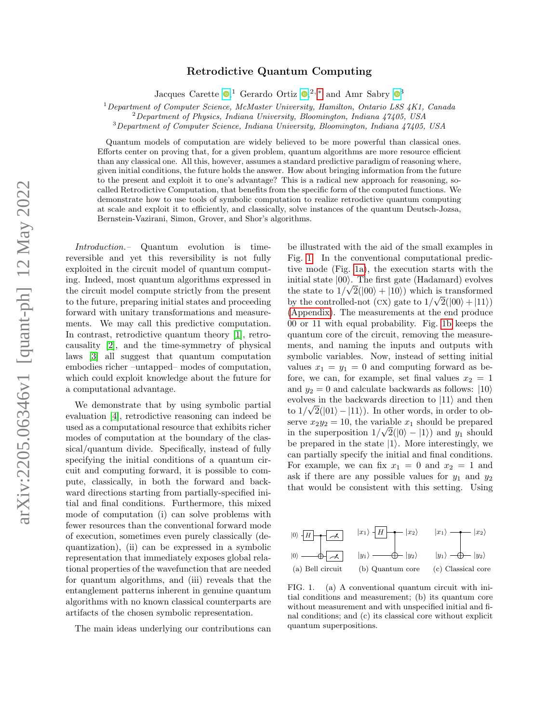## Retrodictive Quantum Computing

Jacques Carette  $\bullet$ [,](https://orcid.org/0000-0003-3254-4494)<sup>1</sup> Gerardo Ortiz  $\bullet$ ,<sup>2,\*</sup> and Amr Sabry  $\bullet$ <sup>[3](https://orcid.org/0000-0002-1025-7331)</sup>

 $1$  Department of Computer Science, McMaster University, Hamilton, Ontario L8S 4K1, Canada

 ${}^{2}$ Department of Physics, Indiana University, Bloomington, Indiana 47405, USA

<sup>3</sup>Department of Computer Science, Indiana University, Bloomington, Indiana 47405, USA

Quantum models of computation are widely believed to be more powerful than classical ones. Efforts center on proving that, for a given problem, quantum algorithms are more resource efficient than any classical one. All this, however, assumes a standard predictive paradigm of reasoning where, given initial conditions, the future holds the answer. How about bringing information from the future to the present and exploit it to one's advantage? This is a radical new approach for reasoning, socalled Retrodictive Computation, that benefits from the specific form of the computed functions. We demonstrate how to use tools of symbolic computation to realize retrodictive quantum computing at scale and exploit it to efficiently, and classically, solve instances of the quantum Deutsch-Jozsa, Bernstein-Vazirani, Simon, Grover, and Shor's algorithms.

Introduction.– Quantum evolution is timereversible and yet this reversibility is not fully exploited in the circuit model of quantum computing. Indeed, most quantum algorithms expressed in the circuit model compute strictly from the present to the future, preparing initial states and proceeding forward with unitary transformations and measurements. We may call this predictive computation. In contrast, retrodictive quantum theory [\[1\]](#page-14-1), retrocausality [\[2\]](#page-14-2), and the time-symmetry of physical laws [\[3\]](#page-14-3) all suggest that quantum computation embodies richer –untapped– modes of computation, which could exploit knowledge about the future for a computational advantage.

We demonstrate that by using symbolic partial evaluation [\[4\]](#page-14-4), retrodictive reasoning can indeed be used as a computational resource that exhibits richer modes of computation at the boundary of the classical/quantum divide. Specifically, instead of fully specifying the initial conditions of a quantum circuit and computing forward, it is possible to compute, classically, in both the forward and backward directions starting from partially-specified initial and final conditions. Furthermore, this mixed mode of computation (i) can solve problems with fewer resources than the conventional forward mode of execution, sometimes even purely classically (dequantization), (ii) can be expressed in a symbolic representation that immediately exposes global relational properties of the wavefunction that are needed for quantum algorithms, and (iii) reveals that the entanglement patterns inherent in genuine quantum algorithms with no known classical counterparts are artifacts of the chosen symbolic representation.

The main ideas underlying our contributions can

be illustrated with the aid of the small examples in Fig. [1.](#page-0-0) In the conventional computational predictive mode (Fig. [1a\)](#page-0-1), the execution starts with the initial state  $|00\rangle$ . The first gate (Hadamard) evolves the state to  $1/\sqrt{2}(|00\rangle + |10\rangle)$  which is transformed by the controlled-not (CX) gate to  $1/\sqrt{2}(|00\rangle + |11\rangle)$ [\(Appendix\)](#page-5-0). The measurements at the end produce 00 or 11 with equal probability. Fig. [1b](#page-0-2) keeps the quantum core of the circuit, removing the measurements, and naming the inputs and outputs with symbolic variables. Now, instead of setting initial values  $x_1 = y_1 = 0$  and computing forward as before, we can, for example, set final values  $x_2 = 1$ and  $y_2 = 0$  and calculate backwards as follows:  $|10\rangle$ evolves in the backwards direction to  $|11\rangle$  and then to  $1/\sqrt{2(|01\rangle - |11\rangle})$ . In other words, in order to observe  $x_2y_2 = 10$ , the variable  $x_1$  should be prepared in the superposition  $1/\sqrt{2(|0\rangle - |1\rangle})$  and  $y_1$  should be prepared in the state  $|1\rangle$ . More interestingly, we can partially specify the initial and final conditions. For example, we can fix  $x_1 = 0$  and  $x_2 = 1$  and ask if there are any possible values for  $y_1$  and  $y_2$ that would be consistent with this setting. Using

<span id="page-0-1"></span>

<span id="page-0-3"></span><span id="page-0-2"></span><span id="page-0-0"></span>FIG. 1. (a) A conventional quantum circuit with initial conditions and measurement; (b) its quantum core without measurement and with unspecified initial and final conditions; and (c) its classical core without explicit quantum superpositions.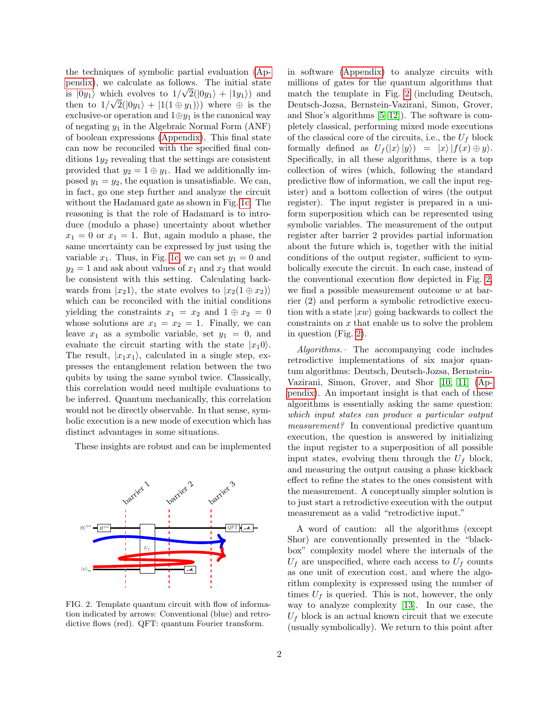the techniques of symbolic partial evaluation [\(Ap](#page-5-0)[pendix\)](#page-5-0), we calculate as follows. The initial state is  $|0y_1\rangle$  which evolves to  $1/\sqrt{2}(|0y_1\rangle + |1y_1\rangle)$  and then to  $1/\sqrt{2(\vert 0y_1 \rangle + \vert 1(1 \oplus y_1) \rangle})$  where  $\oplus$  is the exclusive-or operation and  $1 \oplus y_1$  is the canonical way of negating  $y_1$  in the Algebraic Normal Form  $(ANF)$ of boolean expressions [\(Appendix\)](#page-5-0). This final state can now be reconciled with the specified final conditions  $1y_2$  revealing that the settings are consistent provided that  $y_2 = 1 \oplus y_1$ . Had we additionally imposed  $y_1 = y_2$ , the equation is unsatisfiable. We can, in fact, go one step further and analyze the circuit without the Hadamard gate as shown in Fig. [1c.](#page-0-3) The reasoning is that the role of Hadamard is to introduce (modulo a phase) uncertainty about whether  $x_1 = 0$  or  $x_1 = 1$ . But, again modulo a phase, the same uncertainty can be expressed by just using the variable  $x_1$ . Thus, in Fig. [1c,](#page-0-3) we can set  $y_1 = 0$  and  $y_2 = 1$  and ask about values of  $x_1$  and  $x_2$  that would be consistent with this setting. Calculating backwards from  $|x_21\rangle$ , the state evolves to  $|x_2(1 \oplus x_2)\rangle$ which can be reconciled with the initial conditions yielding the constraints  $x_1 = x_2$  and  $1 \oplus x_2 = 0$ whose solutions are  $x_1 = x_2 = 1$ . Finally, we can leave  $x_1$  as a symbolic variable, set  $y_1 = 0$ , and evaluate the circuit starting with the state  $|x_10\rangle$ . The result,  $|x_1x_1\rangle$ , calculated in a single step, expresses the entanglement relation between the two qubits by using the same symbol twice. Classically, this correlation would need multiple evaluations to be inferred. Quantum mechanically, this correlation would not be directly observable. In that sense, symbolic execution is a new mode of execution which has distinct advantages in some situations.

These insights are robust and can be implemented



<span id="page-1-0"></span>FIG. 2. Template quantum circuit with flow of information indicated by arrows: Conventional (blue) and retrodictive flows (red). QFT: quantum Fourier transform.

in software [\(Appendix\)](#page-5-0) to analyze circuits with millions of gates for the quantum algorithms that match the template in Fig. [2](#page-1-0) (including Deutsch, Deutsch-Jozsa, Bernstein-Vazirani, Simon, Grover, and Shor's algorithms [\[5–](#page-14-5)[12\]](#page-14-6)). The software is completely classical, performing mixed mode executions of the classical core of the circuits, i.e., the  $U_f$  block formally defined as  $U_f(|x\rangle|y\rangle) = |x\rangle|f(x) \oplus y\rangle.$ Specifically, in all these algorithms, there is a top collection of wires (which, following the standard predictive flow of information, we call the input register) and a bottom collection of wires (the output register). The input register is prepared in a uniform superposition which can be represented using symbolic variables. The measurement of the output register after barrier 2 provides partial information about the future which is, together with the initial conditions of the output register, sufficient to symbolically execute the circuit. In each case, instead of the conventional execution flow depicted in Fig. [2,](#page-1-0) we find a possible measurement outcome  $w$  at barrier (2) and perform a symbolic retrodictive execution with a state  $|x_w\rangle$  going backwards to collect the  $\alpha$  constraints on  $x$  that enable us to solve the problem in question (Fig. [2\)](#page-1-0).

Algorithms.– The accompanying code includes retrodictive implementations of six major quantum algorithms: Deutsch, Deutsch-Jozsa, Bernstein-Vazirani, Simon, Grover, and Shor [\[10,](#page-14-7) [11\]](#page-14-8) [\(Ap](#page-5-0)[pendix\)](#page-5-0). An important insight is that each of these algorithms is essentially asking the same question: which input states can produce a particular output measurement? In conventional predictive quantum execution, the question is answered by initializing the input register to a superposition of all possible input states, evolving them through the  $U_f$  block, and measuring the output causing a phase kickback effect to refine the states to the ones consistent with the measurement. A conceptually simpler solution is to just start a retrodictive execution with the output measurement as a valid "retrodictive input."

A word of caution: all the algorithms (except Shor) are conventionally presented in the "blackbox" complexity model where the internals of the  $U_f$  are unspecified, where each access to  $U_f$  counts as one unit of execution cost, and where the algorithm complexity is expressed using the number of times  $U_f$  is queried. This is not, however, the only way to analyze complexity [\[13\]](#page-14-9). In our case, the  $U_f$  block is an actual known circuit that we execute (usually symbolically). We return to this point after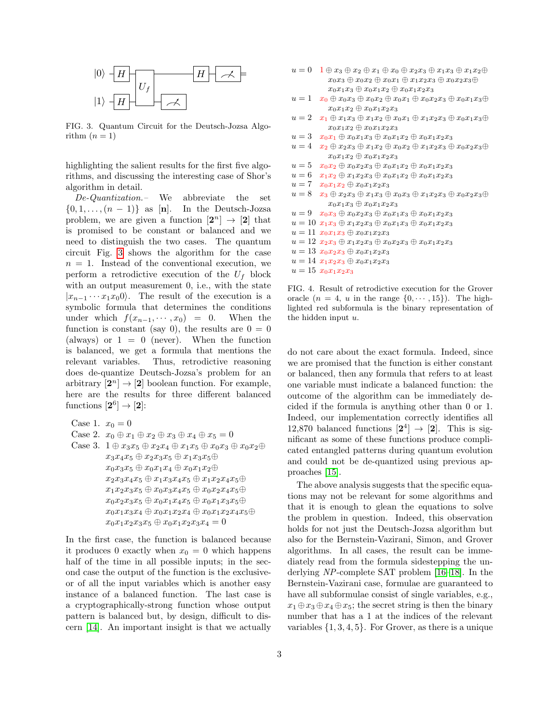

<span id="page-2-0"></span>FIG. 3. Quantum Circuit for the Deutsch-Jozsa Algorithm  $(n=1)$ 

highlighting the salient results for the first five algorithms, and discussing the interesting case of Shor's algorithm in detail.

De-Quantization.– We abbreviate the set  $\{0, 1, \ldots, (n-1)\}\$ as [n]. In the Deutsch-Jozsa problem, we are given a function  $[2^n] \rightarrow [2]$  that is promised to be constant or balanced and we need to distinguish the two cases. The quantum circuit Fig. [3](#page-2-0) shows the algorithm for the case  $n = 1$ . Instead of the conventional execution, we perform a retrodictive execution of the  $U_f$  block with an output measurement 0, i.e., with the state  $|x_{n-1} \cdots x_1 x_0 0\rangle$ . The result of the execution is a symbolic formula that determines the conditions under which  $f(x_{n-1}, \dots, x_0) = 0$ . When the function is constant (say 0), the results are  $0 = 0$ (always) or  $1 = 0$  (never). When the function is balanced, we get a formula that mentions the relevant variables. Thus, retrodictive reasoning does de-quantize Deutsch-Jozsa's problem for an arbitrary  $[2^n] \rightarrow [2]$  boolean function. For example, here are the results for three different balanced functions  $[2^6] \rightarrow [2]$ :

```
Case 1. x_0 = 0Case 2. x_0 \oplus x_1 \oplus x_2 \oplus x_3 \oplus x_4 \oplus x_5 = 0Case 3. 1 \oplus x_3x_5 \oplus x_2x_4 \oplus x_1x_5 \oplus x_0x_3 \oplus x_0x_2 \oplusx_3x_4x_5 \oplus x_2x_3x_5 \oplus x_1x_3x_5 \oplusx_0x_3x_5 \oplus x_0x_1x_4 \oplus x_0x_1x_2 \oplusx_2x_3x_4x_5 \oplus x_1x_3x_4x_5 \oplus x_1x_2x_4x_5 \oplusx_1x_2x_3x_5 \oplus x_0x_3x_4x_5 \oplus x_0x_2x_4x_5 \oplusx_0x_2x_3x_5 \oplus x_0x_1x_4x_5 \oplus x_0x_1x_3x_5 \oplusx_0x_1x_3x_4 \oplus x_0x_1x_2x_4 \oplus x_0x_1x_2x_4x_5 \oplusx_0x_1x_2x_3x_5 \oplus x_0x_1x_2x_3x_4 = 0
```
In the first case, the function is balanced because it produces 0 exactly when  $x_0 = 0$  which happens half of the time in all possible inputs; in the second case the output of the function is the exclusiveor of all the input variables which is another easy instance of a balanced function. The last case is a cryptographically-strong function whose output pattern is balanced but, by design, difficult to discern [\[14\]](#page-14-10). An important insight is that we actually

- $u = 0$   $1 \oplus x_3 \oplus x_2 \oplus x_1 \oplus x_0 \oplus x_2x_3 \oplus x_1x_3 \oplus x_1x_2 \oplus x_2$  $x_0x_3 \oplus x_0x_2 \oplus x_0x_1 \oplus x_1x_2x_3 \oplus x_0x_2x_3 \oplus$  $x_0x_1x_3 \oplus x_0x_1x_2 \oplus x_0x_1x_2x_3$
- $u = 1 \quad x_0 \oplus x_0x_3 \oplus x_0x_2 \oplus x_0x_1 \oplus x_0x_2x_3 \oplus x_0x_1x_3 \oplus x_1x_2$  $x_0x_1x_2 \oplus x_0x_1x_2x_3$
- $u = 2 \quad x_1 \oplus x_1x_3 \oplus x_1x_2 \oplus x_0x_1 \oplus x_1x_2x_3 \oplus x_0x_1x_3 \oplus$  $x_0x_1x_2 \oplus x_0x_1x_2x_3$
- $u = 3$   $x_0x_1 \oplus x_0x_1x_3 \oplus x_0x_1x_2 \oplus x_0x_1x_2x_3$
- $u = 4$   $x_2 \oplus x_2x_3 \oplus x_1x_2 \oplus x_0x_2 \oplus x_1x_2x_3 \oplus x_0x_2x_3 \oplus$  $x_0x_1x_2 \oplus x_0x_1x_2x_3$
- $u = 5$   $x_0x_2 \oplus x_0x_2x_3 \oplus x_0x_1x_2 \oplus x_0x_1x_2x_3$
- $u = 6$   $x_1x_2 \oplus x_1x_2x_3 \oplus x_0x_1x_2 \oplus x_0x_1x_2x_3$
- $u = 7$   $x_0x_1x_2 \oplus x_0x_1x_2x_3$
- $u = 8$   $x_3 \oplus x_2x_3 \oplus x_1x_3 \oplus x_0x_3 \oplus x_1x_2x_3 \oplus x_0x_2x_3 \oplus$  $x_0x_1x_3 \oplus x_0x_1x_2x_3$
- $u = 9$   $x_0x_3 \oplus x_0x_2x_3 \oplus x_0x_1x_3 \oplus x_0x_1x_2x_3$
- $u = 10$   $x_1x_3 \oplus x_1x_2x_3 \oplus x_0x_1x_3 \oplus x_0x_1x_2x_3$
- $u = 11 x_0x_1x_3 \oplus x_0x_1x_2x_3$
- $u = 12 x_2x_3 \oplus x_1x_2x_3 \oplus x_0x_2x_3 \oplus x_0x_1x_2x_3$
- $u = 13 x_0x_2x_3 \oplus x_0x_1x_2x_3$
- $u = 14 x_1x_2x_3 \oplus x_0x_1x_2x_3$
- <span id="page-2-1"></span> $u = 15 x_0x_1x_2x_3$

FIG. 4. Result of retrodictive execution for the Grover oracle  $(n = 4, u$  in the range  $\{0, \dots, 15\}$ . The highlighted red subformula is the binary representation of the hidden input u.

do not care about the exact formula. Indeed, since we are promised that the function is either constant or balanced, then any formula that refers to at least one variable must indicate a balanced function: the outcome of the algorithm can be immediately decided if the formula is anything other than 0 or 1. Indeed, our implementation correctly identifies all 12,870 balanced functions  $[2^4] \rightarrow [2]$ . This is significant as some of these functions produce complicated entangled patterns during quantum evolution and could not be de-quantized using previous approaches [\[15\]](#page-14-11).

The above analysis suggests that the specific equations may not be relevant for some algorithms and that it is enough to glean the equations to solve the problem in question. Indeed, this observation holds for not just the Deutsch-Jozsa algorithm but also for the Bernstein-Vazirani, Simon, and Grover algorithms. In all cases, the result can be immediately read from the formula sidestepping the underlying NP-complete SAT problem [\[16–](#page-14-12)[18\]](#page-14-13). In the Bernstein-Vazirani case, formulae are guaranteed to have all subformulae consist of single variables, e.g.,  $x_1 \oplus x_3 \oplus x_4 \oplus x_5$ ; the secret string is then the binary number that has a 1 at the indices of the relevant variables  $\{1, 3, 4, 5\}$ . For Grover, as there is a unique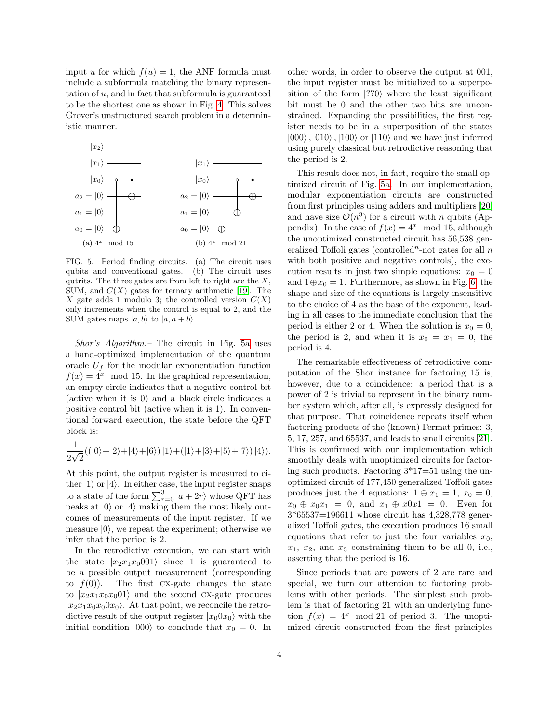input u for which  $f(u) = 1$ , the ANF formula must include a subformula matching the binary representation of u, and in fact that subformula is guaranteed to be the shortest one as shown in Fig. [4.](#page-2-1) This solves Grover's unstructured search problem in a deterministic manner.

<span id="page-3-0"></span>

<span id="page-3-1"></span>FIG. 5. Period finding circuits. (a) The circuit uses qubits and conventional gates. (b) The circuit uses qutrits. The three gates are from left to right are the  $X$ , SUM, and  $C(X)$  gates for ternary arithmetic [\[19\]](#page-14-14). The X gate adds 1 modulo 3; the controlled version  $C(X)$ only increments when the control is equal to 2, and the SUM gates maps  $|a, b\rangle$  to  $|a, a+b\rangle$ .

Shor's Algorithm.– The circuit in Fig. [5a](#page-3-0) uses a hand-optimized implementation of the quantum oracle  $U_f$  for the modular exponentiation function  $f(x) = 4^x \mod 15$ . In the graphical representation, an empty circle indicates that a negative control bit (active when it is 0) and a black circle indicates a positive control bit (active when it is 1). In conventional forward execution, the state before the QFT block is:

$$
\frac{1}{2\sqrt{2}}((|0\rangle+|2\rangle+|4\rangle+|6\rangle)|1\rangle+(|1\rangle+|3\rangle+|5\rangle+|7\rangle)|4\rangle).
$$

At this point, the output register is measured to either  $|1\rangle$  or  $|4\rangle$ . In either case, the input register snaps to a state of the form  $\sum_{r=0}^{3} |a + 2r\rangle$  whose QFT has peaks at  $|0\rangle$  or  $|4\rangle$  making them the most likely outcomes of measurements of the input register. If we measure  $|0\rangle$ , we repeat the experiment; otherwise we infer that the period is 2.

In the retrodictive execution, we can start with the state  $|x_2x_1x_0001\rangle$  since 1 is guaranteed to be a possible output measurement (corresponding to  $f(0)$ ). The first CX-gate changes the state to  $|x_2x_1x_0x_0|$  and the second CX-gate produces  $|x_2x_1x_0x_00x_0\rangle$ . At that point, we reconcile the retrodictive result of the output register  $|x_00x_0\rangle$  with the initial condition  $|000\rangle$  to conclude that  $x_0 = 0$ . In other words, in order to observe the output at 001, the input register must be initialized to a superposition of the form  $|??0\rangle$  where the least significant bit must be 0 and the other two bits are unconstrained. Expanding the possibilities, the first register needs to be in a superposition of the states  $|000\rangle$ ,  $|010\rangle$ ,  $|100\rangle$  or  $|110\rangle$  and we have just inferred using purely classical but retrodictive reasoning that the period is 2.

This result does not, in fact, require the small optimized circuit of Fig. [5a.](#page-3-0) In our implementation, modular exponentiation circuits are constructed from first principles using adders and multipliers [\[20\]](#page-14-15) and have size  $\mathcal{O}(n^3)$  for a circuit with n qubits (Appendix). In the case of  $f(x) = 4^x \mod 15$ , although the unoptimized constructed circuit has 56,538 generalized Toffoli gates (controlled<sup>n</sup>-not gates for all  $n$ with both positive and negative controls), the execution results in just two simple equations:  $x_0 = 0$ and  $1 \oplus x_0 = 1$ . Furthermore, as shown in Fig. [6,](#page-4-0) the shape and size of the equations is largely insensitive to the choice of 4 as the base of the exponent, leading in all cases to the immediate conclusion that the period is either 2 or 4. When the solution is  $x_0 = 0$ , the period is 2, and when it is  $x_0 = x_1 = 0$ , the period is 4.

The remarkable effectiveness of retrodictive computation of the Shor instance for factoring 15 is, however, due to a coincidence: a period that is a power of 2 is trivial to represent in the binary number system which, after all, is expressly designed for that purpose. That coincidence repeats itself when factoring products of the (known) Fermat primes: 3, 5, 17, 257, and 65537, and leads to small circuits [\[21\]](#page-14-16). This is confirmed with our implementation which smoothly deals with unoptimized circuits for factoring such products. Factoring  $3*17=51$  using the unoptimized circuit of 177,450 generalized Toffoli gates produces just the 4 equations:  $1 \oplus x_1 = 1$ ,  $x_0 = 0$ ,  $x_0 \oplus x_0 x_1 = 0$ , and  $x_1 \oplus x_0 x_1 = 0$ . Even for 3\*65537=196611 whose circuit has 4,328,778 generalized Toffoli gates, the execution produces 16 small equations that refer to just the four variables  $x_0$ ,  $x_1, x_2, x_3$  constraining them to be all 0, i.e., asserting that the period is 16.

Since periods that are powers of 2 are rare and special, we turn our attention to factoring problems with other periods. The simplest such problem is that of factoring 21 with an underlying function  $f(x) = 4^x \mod 21$  of period 3. The unoptimized circuit constructed from the first principles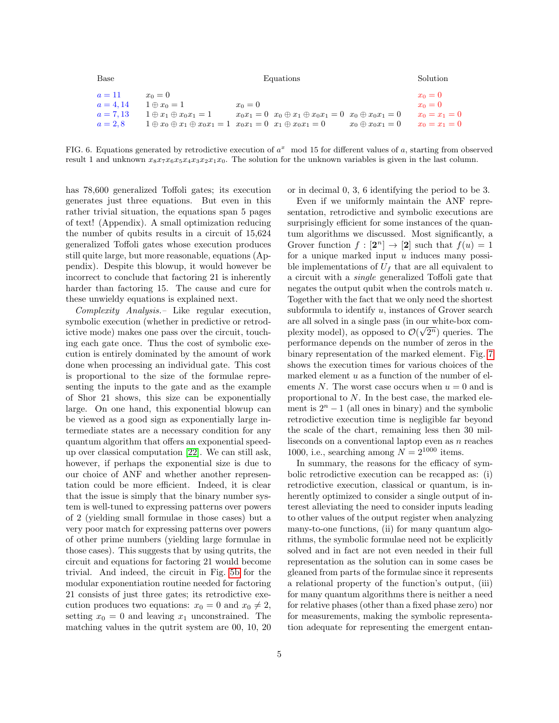Base **Equations** Solution

| $a=11$      | $x_0=0$                           |                                                                                     |                          | $x_0=0$         |
|-------------|-----------------------------------|-------------------------------------------------------------------------------------|--------------------------|-----------------|
| $a = 4.14$  | $1 \oplus x_0 = 1$                | $x_0=0$                                                                             |                          | $x_0=0$         |
| $a = 7, 13$ | $1 \oplus x_1 \oplus x_0 x_1 = 1$ | $x_0x_1 = 0$ $x_0 \oplus x_1 \oplus x_0x_1 = 0$ $x_0 \oplus x_0x_1 = 0$             |                          | $x_0 = x_1 = 0$ |
| $a=2,8$     |                                   | $1 \oplus x_0 \oplus x_1 \oplus x_0 x_1 = 1$ $x_0 x_1 = 0$ $x_1 \oplus x_0 x_1 = 0$ | $x_0 \oplus x_0 x_1 = 0$ | $x_0 = x_1 = 0$ |

<span id="page-4-0"></span>FIG. 6. Equations generated by retrodictive execution of  $a^x \mod 15$  for different values of a, starting from observed result 1 and unknown  $x_8x_7x_6x_5x_4x_3x_2x_1x_0$ . The solution for the unknown variables is given in the last column.

has 78,600 generalized Toffoli gates; its execution generates just three equations. But even in this rather trivial situation, the equations span 5 pages of text! (Appendix). A small optimization reducing the number of qubits results in a circuit of 15,624 generalized Toffoli gates whose execution produces still quite large, but more reasonable, equations (Appendix). Despite this blowup, it would however be incorrect to conclude that factoring 21 is inherently harder than factoring 15. The cause and cure for these unwieldy equations is explained next.

Complexity Analysis.– Like regular execution, symbolic execution (whether in predictive or retrodictive mode) makes one pass over the circuit, touching each gate once. Thus the cost of symbolic execution is entirely dominated by the amount of work done when processing an individual gate. This cost is proportional to the size of the formulae representing the inputs to the gate and as the example of Shor 21 shows, this size can be exponentially large. On one hand, this exponential blowup can be viewed as a good sign as exponentially large intermediate states are a necessary condition for any quantum algorithm that offers an exponential speedup over classical computation [\[22\]](#page-14-17). We can still ask, however, if perhaps the exponential size is due to our choice of ANF and whether another representation could be more efficient. Indeed, it is clear that the issue is simply that the binary number system is well-tuned to expressing patterns over powers of 2 (yielding small formulae in those cases) but a very poor match for expressing patterns over powers of other prime numbers (yielding large formulae in those cases). This suggests that by using qutrits, the circuit and equations for factoring 21 would become trivial. And indeed, the circuit in Fig. [5b](#page-3-1) for the modular exponentiation routine needed for factoring 21 consists of just three gates; its retrodictive execution produces two equations:  $x_0 = 0$  and  $x_0 \neq 2$ , setting  $x_0 = 0$  and leaving  $x_1$  unconstrained. The matching values in the qutrit system are 00, 10, 20 or in decimal 0, 3, 6 identifying the period to be 3.

Even if we uniformly maintain the ANF representation, retrodictive and symbolic executions are surprisingly efficient for some instances of the quantum algorithms we discussed. Most significantly, a Grover function  $f: [2^n] \to [2]$  such that  $f(u) = 1$ for a unique marked input  $u$  induces many possible implementations of  $U_f$  that are all equivalent to a circuit with a single generalized Toffoli gate that negates the output qubit when the controls match  $u$ . Together with the fact that we only need the shortest subformula to identify  $u$ , instances of Grover search are all solved in a single pass (in our white-box complexity model), as opposed to  $\mathcal{O}(\sqrt{2^n})$  queries. The performance depends on the number of zeros in the binary representation of the marked element. Fig. [7](#page-5-1) shows the execution times for various choices of the marked element  $u$  as a function of the number of elements N. The worst case occurs when  $u = 0$  and is proportional to  $N$ . In the best case, the marked element is  $2^n - 1$  (all ones in binary) and the symbolic retrodictive execution time is negligible far beyond the scale of the chart, remaining less then 30 milliseconds on a conventional laptop even as  $n$  reaches 1000, i.e., searching among  $N = 2^{1000}$  items.

In summary, the reasons for the efficacy of symbolic retrodictive execution can be recapped as: (i) retrodictive execution, classical or quantum, is inherently optimized to consider a single output of interest alleviating the need to consider inputs leading to other values of the output register when analyzing many-to-one functions, (ii) for many quantum algorithms, the symbolic formulae need not be explicitly solved and in fact are not even needed in their full representation as the solution can in some cases be gleaned from parts of the formulae since it represents a relational property of the function's output, (iii) for many quantum algorithms there is neither a need for relative phases (other than a fixed phase zero) nor for measurements, making the symbolic representation adequate for representing the emergent entan-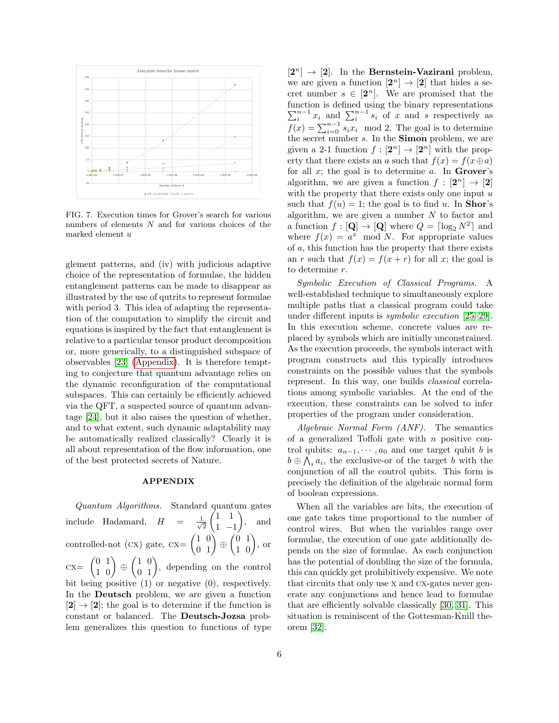

<span id="page-5-1"></span>FIG. 7. Execution times for Grover's search for various numbers of elements N and for various choices of the marked element u

glement patterns, and (iv) with judicious adaptive choice of the representation of formulae, the hidden entanglement patterns can be made to disappear as illustrated by the use of qutrits to represent formulae with period 3. This idea of adapting the representation of the computation to simplify the circuit and equations is inspired by the fact that entanglement is relative to a particular tensor product decomposition or, more generically, to a distinguished subspace of observables [\[23\]](#page-14-18) [\(Appendix\)](#page-5-0). It is therefore tempting to conjecture that quantum advantage relies on the dynamic reconfiguration of the computational subspaces. This can certainly be efficiently achieved via the QFT, a suspected source of quantum advantage [\[24\]](#page-14-19), but it also raises the question of whether, and to what extent, such dynamic adaptability may be automatically realized classically? Clearly it is all about representation of the flow information, one of the best protected secrets of Nature.

## <span id="page-5-0"></span>APPENDIX

Quantum Algorithms. Standard quantum gates include Hadamard,  $H = \frac{1}{\sqrt{2}}$ 2  $(1 \ 1)$ 1 −1  $\setminus$ , and controlled-not (cx) gate,  $cx = \begin{pmatrix} 1 & 0 \\ 0 & 1 \end{pmatrix} \oplus \begin{pmatrix} 0 & 1 \\ 1 & 0 \end{pmatrix}$ , or  $cx = \begin{pmatrix} 0 & 1 \\ 1 & 0 \end{pmatrix} \oplus \begin{pmatrix} 1 & 0 \\ 0 & 1 \end{pmatrix}$ , depending on the control bit being positive (1) or negative (0), respectively. In the Deutsch problem, we are given a function  $[2] \rightarrow [2]$ ; the goal is to determine if the function is constant or balanced. The Deutsch-Jozsa problem generalizes this question to functions of type

 $[2^n] \rightarrow [2]$ . In the Bernstein-Vazirani problem, we are given a function  $[2^n] \to [2]$  that hides a secret number  $s \in [2^n]$ . We are promised that the function is defined using the binary representations  $\sum_{i=1}^{n-1} x_i$  and  $\sum_{i=1}^{n-1} s_i$  of x and s respectively as  $f(x) = \sum_{i=0}^{n-1} s_i x_i \mod 2$ . The goal is to determine the secret number s. In the Simon problem, we are given a 2-1 function  $f: [\mathbf{2}^n] \to [\mathbf{2}^n]$  with the property that there exists an a such that  $f(x) = f(x \oplus a)$ for all  $x$ ; the goal is to determine  $a$ . In Grover's algorithm, we are given a function  $f : [2^n] \to [2]$ with the property that there exists only one input  $u$ such that  $f(u) = 1$ ; the goal is to find u. In **Shor**'s algorithm, we are given a number  $N$  to factor and a function  $f : [\mathbf{Q}] \to [\mathbf{Q}]$  where  $Q = \lceil \log_2 N^2 \rceil$  and where  $f(x) = a^x \mod N$ . For appropriate values of a, this function has the property that there exists an r such that  $f(x) = f(x+r)$  for all x; the goal is to determine r.

Symbolic Execution of Classical Programs. A well-established technique to simultaneously explore multiple paths that a classical program could take under different inputs is symbolic execution [\[25–](#page-14-20)[29\]](#page-15-0). In this execution scheme, concrete values are replaced by symbols which are initially unconstrained. As the execution proceeds, the symbols interact with program constructs and this typically introduces constraints on the possible values that the symbols represent. In this way, one builds classical correlations among symbolic variables. At the end of the execution, these constraints can be solved to infer properties of the program under consideration.

Algebraic Normal Form (ANF). The semantics of a generalized Toffoli gate with  $n$  positive control qubits:  $a_{n-1}, \dots, a_0$  and one target qubit b is  $b \oplus \bigwedge_i a_i$ , the exclusive-or of the target b with the conjunction of all the control qubits. This form is precisely the definition of the algebraic normal form of boolean expressions.

When all the variables are bits, the execution of one gate takes time proportional to the number of control wires. But when the variables range over formulae, the execution of one gate additionally depends on the size of formulae. As each conjunction has the potential of doubling the size of the formula, this can quickly get prohibitively expensive. We note that circuits that only use x and cx-gates never generate any conjunctions and hence lead to formulae that are efficiently solvable classically [\[30,](#page-15-1) [31\]](#page-15-2). This situation is reminiscent of the Gottesman-Knill theorem [\[32\]](#page-15-3).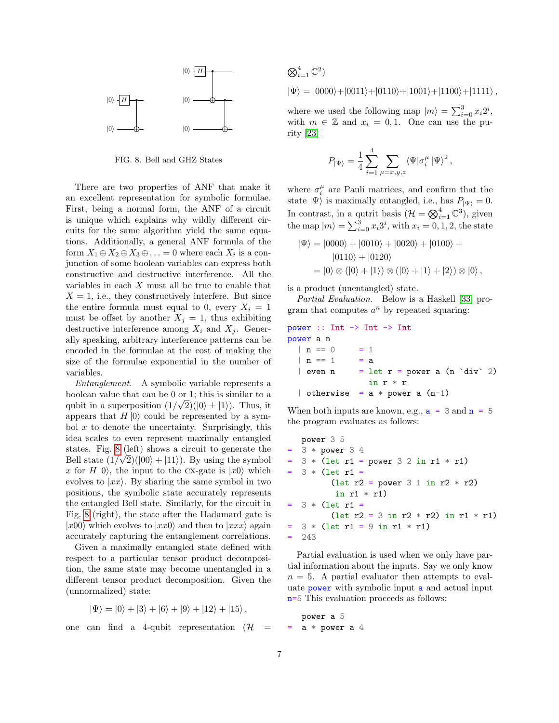

FIG. 8. Bell and GHZ States

<span id="page-6-0"></span>There are two properties of ANF that make it an excellent representation for symbolic formulae. First, being a normal form, the ANF of a circuit is unique which explains why wildly different circuits for the same algorithm yield the same equations. Additionally, a general ANF formula of the form  $X_1 \oplus X_2 \oplus X_3 \oplus \ldots = 0$  where each  $X_i$  is a conjunction of some boolean variables can express both constructive and destructive interference. All the variables in each  $X$  must all be true to enable that  $X = 1$ , i.e., they constructively interfere. But since the entire formula must equal to 0, every  $X_i = 1$ must be offset by another  $X_j = 1$ , thus exhibiting destructive interference among  $X_i$  and  $X_j$ . Generally speaking, arbitrary interference patterns can be encoded in the formulae at the cost of making the size of the formulae exponential in the number of variables.

Entanglement. A symbolic variable represents a boolean value that can be 0 or 1; this is similar to a qubit in a superposition  $(1/\sqrt{2})(|0\rangle \pm |1\rangle)$ . Thus, it appears that  $H |0\rangle$  could be represented by a symbol  $x$  to denote the uncertainty. Surprisingly, this idea scales to even represent maximally entangled states. Fig. [8](#page-6-0) (left) shows a circuit to generate the Bell state  $(1/\sqrt{2})(|00\rangle + |11\rangle)$ . By using the symbol x for  $H |0\rangle$ , the input to the CX-gate is  $|x0\rangle$  which evolves to  $|x\chi\rangle$ . By sharing the same symbol in two positions, the symbolic state accurately represents the entangled Bell state. Similarly, for the circuit in Fig. [8](#page-6-0) (right), the state after the Hadamard gate is  $|x00\rangle$  which evolves to  $|xxy\rangle$  and then to  $|xxx\rangle$  again accurately capturing the entanglement correlations.

Given a maximally entangled state defined with respect to a particular tensor product decomposition, the same state may become unentangled in a different tensor product decomposition. Given the (unnormalized) state:

$$
|\Psi\rangle = |0\rangle + |3\rangle + |6\rangle + |9\rangle + |12\rangle + |15\rangle,
$$

one can find a 4-qubit representation  $(\mathcal{H})$  =

$$
\bigotimes_{i=1}^{4} \mathbb{C}^{2}
$$
  

$$
|\Psi\rangle = |0000\rangle + |0011\rangle + |0110\rangle + |1001\rangle + |1100\rangle + |1111\rangle,
$$

where we used the following map  $|m\rangle = \sum_{i=0}^{3} x_i 2^i$ , with  $m \in \mathbb{Z}$  and  $x_i = 0, 1$ . One can use the purity [\[23\]](#page-14-18)

$$
P_{|\Psi\rangle} = \frac{1}{4} \sum_{i=1}^{4} \sum_{\mu=x,y,z} \langle \Psi | \sigma_i^{\mu} | \Psi \rangle^2 ,
$$

where  $\sigma_i^{\mu}$  are Pauli matrices, and confirm that the state  $|\Psi\rangle$  is maximally entangled, i.e., has  $P_{|\Psi\rangle} = 0$ . In contrast, in a qutrit basis  $(\mathcal{H} = \bigotimes_{i=1}^{4} \mathbb{C}^{3})$ , given the map  $|m\rangle = \sum_{i=0}^{3} x_i 3^i$ , with  $x_i = 0, 1, 2$ , the state

$$
|\Psi\rangle = |0000\rangle + |0010\rangle + |0020\rangle + |0100\rangle + |0110\rangle + |0120\rangle
$$
  
=  $|0\rangle \otimes (|0\rangle + |1\rangle) \otimes (|0\rangle + |1\rangle + |2\rangle) \otimes |0\rangle,$ 

is a product (unentangled) state.

Partial Evaluation. Below is a Haskell [\[33\]](#page-15-4) program that computes  $a^n$  by repeated squaring:

```
power :: Int -> Int -> Int
power a n
  | n == 0 = 1| n == 1 = a| even n = let r = power a (n 'div' 2)
               in r * r
  | otherwise = a * power a (n-1)
```
When both inputs are known, e.g.,  $a = 3$  and  $n = 5$ the program evaluates as follows:

```
power 3 5
= 3 * power 3 43 * (let r1 = power 3 2 in r1 * r1)3 * (let r1 =(let r2 = power 3 1 in r2 * r2)
         in r1 * r1)= 3 * (let r1 =(let r2 = 3 in r2 * r2) in r1 * r1)
= 3 * (let r1 = 9 in r1 * r1)= 243
```
Partial evaluation is used when we only have partial information about the inputs. Say we only know  $n = 5$ . A partial evaluator then attempts to evaluate power with symbolic input a and actual input n=5 This evaluation proceeds as follows:

power a 5  $a * power a 4$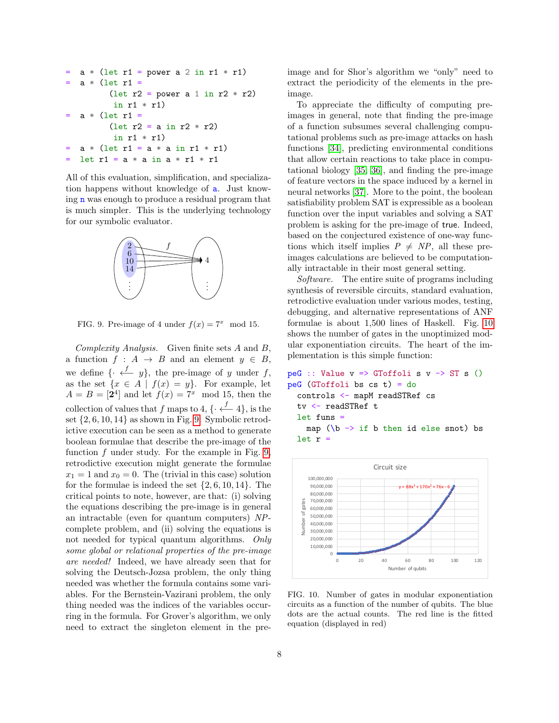```
a * (let r1 = power a 2 in r1 * r1)a * (let r1 =(let r2 = power a 1 in r2 * r2)
           in r1 * r1)
   a * (let r1 =(\text{let } r2 = a \text{ in } r2 * r2)in r1 * r1a * (let r1 = a * a in r1 * r1)= let r1 = a * a in a * r1 * r1
```
All of this evaluation, simplification, and specialization happens without knowledge of a. Just knowing n was enough to produce a residual program that is much simpler. This is the underlying technology for our symbolic evaluator.



<span id="page-7-0"></span>FIG. 9. Pre-image of 4 under  $f(x) = 7^x \mod 15$ .

Complexity Analysis. Given finite sets A and B, a function  $f : A \rightarrow B$  and an element  $y \in B$ , we define  $\{\cdot \stackrel{f}{\longleftarrow} y\}$ , the pre-image of y under f, as the set  $\{x \in A \mid f(x) = y\}$ . For example, let  $A = B = \begin{bmatrix} 2^4 \end{bmatrix}$  and let  $f(x) = 7^x \mod 15$ , then the collection of values that f maps to 4,  $\{\cdot \stackrel{f}{\leftarrow} 4\}$ , is the set  $\{2, 6, 10, 14\}$  as shown in Fig. [9.](#page-7-0) Symbolic retrodictive execution can be seen as a method to generate boolean formulae that describe the pre-image of the function  $f$  under study. For the example in Fig. [9,](#page-7-0) retrodictive execution might generate the formulae  $x_1 = 1$  and  $x_0 = 0$ . The (trivial in this case) solution for the formulae is indeed the set  $\{2, 6, 10, 14\}$ . The critical points to note, however, are that: (i) solving the equations describing the pre-image is in general an intractable (even for quantum computers) NPcomplete problem, and (ii) solving the equations is not needed for typical quantum algorithms. Only some global or relational properties of the pre-image are needed! Indeed, we have already seen that for solving the Deutsch-Jozsa problem, the only thing needed was whether the formula contains some variables. For the Bernstein-Vazirani problem, the only thing needed was the indices of the variables occurring in the formula. For Grover's algorithm, we only need to extract the singleton element in the preimage and for Shor's algorithm we "only" need to extract the periodicity of the elements in the preimage.

To appreciate the difficulty of computing preimages in general, note that finding the pre-image of a function subsumes several challenging computational problems such as pre-image attacks on hash functions [\[34\]](#page-15-5), predicting environmental conditions that allow certain reactions to take place in computational biology [\[35,](#page-15-6) [36\]](#page-15-7), and finding the pre-image of feature vectors in the space induced by a kernel in neural networks [\[37\]](#page-15-8). More to the point, the boolean satisfiability problem SAT is expressible as a boolean function over the input variables and solving a SAT problem is asking for the pre-image of true. Indeed, based on the conjectured existence of one-way functions which itself implies  $P \neq NP$ , all these preimages calculations are believed to be computationally intractable in their most general setting.

Software. The entire suite of programs including synthesis of reversible circuits, standard evaluation, retrodictive evaluation under various modes, testing, debugging, and alternative representations of ANF formulae is about 1,500 lines of Haskell. Fig. [10](#page-7-1) shows the number of gates in the unoptimized modular exponentiation circuits. The heart of the implementation is this simple function:

```
peG :: Value v \Rightarrow GToffoli s v \rightarrow ST s ()
peG (GToffoli bs cs t) = do
  controls <- mapM readSTRef cs
  tv <- readSTRef t
  let funs =
    map (\b{-} if b then id else snot) bs
  let r =
```


<span id="page-7-1"></span>FIG. 10. Number of gates in modular exponentiation circuits as a function of the number of qubits. The blue dots are the actual counts. The red line is the fitted equation (displayed in red)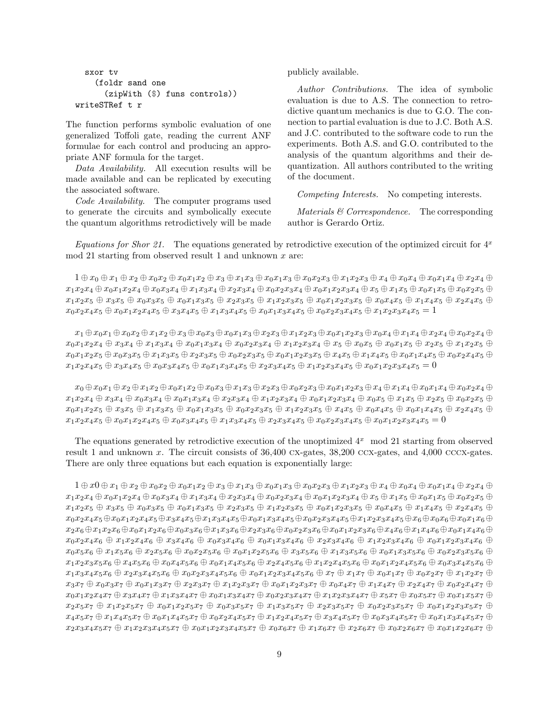```
sxor tv
    (foldr sand one
      (zipWith ($) funs controls))
writeSTRef t r
```
The function performs symbolic evaluation of one generalized Toffoli gate, reading the current ANF formulae for each control and producing an appropriate ANF formula for the target.

Data Availability. All execution results will be made available and can be replicated by executing the associated software.

Code Availability. The computer programs used to generate the circuits and symbolically execute the quantum algorithms retrodictively will be made publicly available.

Author Contributions. The idea of symbolic evaluation is due to A.S. The connection to retrodictive quantum mechanics is due to G.O. The connection to partial evaluation is due to J.C. Both A.S. and J.C. contributed to the software code to run the experiments. Both A.S. and G.O. contributed to the analysis of the quantum algorithms and their dequantization. All authors contributed to the writing of the document.

Competing Interests. No competing interests.

Materials & Correspondence. The corresponding author is Gerardo Ortiz.

Equations for Shor 21. The equations generated by retrodictive execution of the optimized circuit for  $4^x$ mod 21 starting from observed result 1 and unknown  $x$  are:

 $1 \oplus x_0 \oplus x_1 \oplus x_2 \oplus x_0x_2 \oplus x_0x_1x_2 \oplus x_3 \oplus x_1x_3 \oplus x_0x_1x_3 \oplus x_0x_2x_3 \oplus x_1x_2x_3 \oplus x_4 \oplus x_0x_1x_4 \oplus x_0x_1x_4 \oplus x_2x_4 \oplus x_3x_4$  $x_1x_2x_4 \oplus x_0x_1x_2x_4 \oplus x_0x_3x_4 \oplus x_1x_3x_4 \oplus x_2x_3x_4 \oplus x_0x_2x_3x_4 \oplus x_0x_1x_2x_3x_4 \oplus x_5 \oplus x_1x_5 \oplus x_0x_1x_5 \oplus x_0x_2x_5 \oplus x_0x_2x_5 \oplus x_1x_5$  $x_1x_2x_5 \oplus x_3x_5 \oplus x_0x_3x_5 \oplus x_0x_1x_3x_5 \oplus x_2x_3x_5 \oplus x_1x_2x_3x_5 \oplus x_0x_1x_2x_3x_5 \oplus x_0x_4x_5 \oplus x_1x_4x_5 \oplus x_2x_4x_5 \oplus x_1x_2x_3$  $x_0x_2x_4x_5 \oplus x_0x_1x_2x_4x_5 \oplus x_3x_4x_5 \oplus x_1x_3x_4x_5 \oplus x_0x_1x_3x_4x_5 \oplus x_0x_2x_3x_4x_5 \oplus x_1x_2x_3x_4x_5 = 1$ 

 $x_1 \oplus x_0x_1 \oplus x_0x_2 \oplus x_1x_2 \oplus x_3 \oplus x_0x_3 \oplus x_0x_1x_3 \oplus x_2x_3 \oplus x_1x_2x_3 \oplus x_0x_1x_2x_3 \oplus x_0x_4 \oplus x_1x_4 \oplus x_2x_4 \oplus x_0x_2x_4 \oplus x_1x_2x_3$  $x_0x_1x_2x_4 \oplus x_3x_4 \oplus x_1x_3x_4 \oplus x_0x_1x_3x_4 \oplus x_0x_2x_3x_4 \oplus x_1x_2x_3x_4 \oplus x_5 \oplus x_0x_5 \oplus x_0x_1x_5 \oplus x_2x_5 \oplus x_1x_2x_5 \oplus x_1x_2x_5$  $x_0x_1x_2x_5 \oplus x_0x_3x_5 \oplus x_1x_3x_5 \oplus x_2x_3x_5 \oplus x_0x_2x_3x_5 \oplus x_0x_1x_2x_3x_5 \oplus x_1x_4x_5 \oplus x_1x_4x_5 \oplus x_0x_1x_4x_5 \oplus x_0x_2x_4x_5 \oplus x_1x_4x_5$  $x_1x_2x_4x_5 \oplus x_3x_4x_5 \oplus x_0x_3x_4x_5 \oplus x_0x_1x_3x_4x_5 \oplus x_2x_3x_4x_5 \oplus x_1x_2x_3x_4x_5 \oplus x_0x_1x_2x_3x_4x_5 = 0$ 

 $x_0 \oplus x_0x_1 \oplus x_2 \oplus x_1x_2 \oplus x_0x_1x_2 \oplus x_0x_3 \oplus x_1x_3 \oplus x_2x_3 \oplus x_0x_2x_3 \oplus x_0x_1x_2x_3 \oplus x_4 \oplus x_1x_4 \oplus x_0x_1x_4 \oplus x_0x_2x_4 \oplus x_1x_2$  $x_1x_2x_4 + x_3x_4 + x_0x_3x_4 + x_0x_1x_3x_4 + x_2x_3x_4 + x_1x_2x_3x_4 + x_0x_1x_2x_3x_4 + x_0x_5 + x_1x_5 + x_2x_5 + x_0x_2x_5 + x_1x_2x_4 + x_1x_2x_4 + x_1x_3x_4 + x_1x_2x_3$  $x_0x_1x_2x_5 \oplus x_3x_5 \oplus x_1x_3x_5 \oplus x_0x_1x_3x_5 \oplus x_0x_2x_3x_5 \oplus x_1x_2x_3x_5 \oplus x_4x_5 \oplus x_0x_4x_5 \oplus x_0x_1x_4x_5 \oplus x_2x_4x_5 \oplus x_3x_4$  $x_1x_2x_4x_5 \oplus x_0x_1x_2x_4x_5 \oplus x_0x_3x_4x_5 \oplus x_1x_3x_4x_5 \oplus x_2x_3x_4x_5 \oplus x_0x_2x_3x_4x_5 \oplus x_0x_1x_2x_3x_4x_5 = 0$ 

The equations generated by retrodictive execution of the unoptimized  $4^x \mod 21$  starting from observed result 1 and unknown x. The circuit consists of 36,400 cx-gates, 38,200 ccx-gates, and 4,000 cccx-gates. There are only three equations but each equation is exponentially large:

 $1 \oplus x0 \oplus x_1 \oplus x_2 \oplus x_0x_2 \oplus x_0x_1x_2 \oplus x_3 \oplus x_1x_3 \oplus x_0x_1x_3 \oplus x_0x_2x_3 \oplus x_1x_2x_3 \oplus x_4 \oplus x_0x_4 \oplus x_0x_1x_4 \oplus x_2x_4 \oplus x_1x_2$  $x_1x_2x_4\oplus x_0x_1x_2x_4\oplus x_0x_3x_4\oplus x_1x_3x_4\oplus x_2x_3x_4\oplus x_0x_2x_3x_4\oplus x_0x_1x_2x_3x_4\oplus x_5\oplus x_1x_5\oplus x_0x_1x_5\oplus x_0x_2x_5\oplus$  $x_1x_2x_5 \oplus x_3x_5 \oplus x_0x_3x_5 \oplus x_0x_1x_3x_5 \oplus x_2x_3x_5 \oplus x_1x_2x_3x_5 \oplus x_0x_1x_2x_3x_5 \oplus x_0x_4x_5 \oplus x_1x_4x_5 \oplus x_2x_4x_5 \oplus x_3x_5 \oplus x_4x_5$  $x_0x_2x_4x_5 \oplus x_0x_1x_2x_4x_5 \oplus x_3x_4x_5 \oplus x_1x_3x_4x_5 \oplus x_0x_1x_3x_4x_5 \oplus x_0x_2x_3x_4x_5 \oplus x_1x_2x_3x_4x_5 \oplus x_6 \oplus x_0x_6 \oplus x_0x_1x_6 \oplus x_0x_1x_6 \oplus x_1x_2x_3$  $x_2x_6 \oplus x_1x_2x_6 \oplus x_0x_1x_2x_6 \oplus x_0x_3x_6 \oplus x_1x_3x_6 \oplus x_2x_3x_6 \oplus x_0x_2x_3x_6 \oplus x_0x_1x_2x_3x_6 \oplus x_1x_4x_6 \oplus x_1x_4x_6 \oplus x_0x_1x_4x_6 \oplus x_0x_1x_4x_6 \oplus x_0x_1x_4x_6 \oplus x_0x_1x_4x_6 \oplus x_0x_1x_4x_6 \oplus x_0x_1x_4x_6 \oplus x$  $x_0x_2x_4x_6 \oplus x_1x_2x_4x_6 \oplus x_3x_4x_6 \oplus x_0x_3x_4x_6 \oplus x_0x_1x_3x_4x_6 \oplus x_2x_3x_4x_6 \oplus x_1x_2x_3x_4x_6 \oplus x_0x_1x_2x_3x_4x_6 \oplus x_1x_2x_3x_4$  $x_0x_5x_6 + x_1x_5x_6 + x_2x_5x_6 + x_0x_2x_5x_6 + x_0x_1x_2x_5x_6 + x_3x_5x_6 + x_1x_3x_5x_6 + x_0x_1x_3x_5x_6 + x_0x_2x_3x_5x_6 + x_1x_5x_6 + x_1x_5x_6 + x_1x_5x_6 + x_1x_5x_6 + x_1x_5x_6 + x_1x_5x_6 + x_1x_5x_6 + x_1x_5x_6 + x_1x_5x_6 + x_1x_5x_6 + x_1x_5$  $x_1x_2x_3x_5x_6 \oplus x_4x_5x_6 \oplus x_0x_4x_5x_6 \oplus x_0x_1x_4x_5x_6 \oplus x_2x_4x_5x_6 \oplus x_1x_2x_4x_5x_6 \oplus x_0x_1x_2x_4x_5x_6 \oplus x_0x_3x_4x_5x_6 \oplus x_1x_2x_4x_5$  $x_1x_3x_4x_5x_6 \oplus x_2x_3x_4x_5x_6 \oplus x_0x_2x_3x_4x_5x_6 \oplus x_0x_1x_2x_3x_4x_5x_6 \oplus x_7 \oplus x_1x_7 \oplus x_0x_1x_7 \oplus x_0x_2x_7 \oplus x_1x_2x_7 \oplus x_1x_2x_7$  $x_3x_7 \oplus x_0x_3x_7 \oplus x_0x_1x_3x_7 \oplus x_2x_3x_7 \oplus x_1x_2x_3x_7 \oplus x_0x_1x_2x_3x_7 \oplus x_0x_4x_7 \oplus x_1x_4x_7 \oplus x_2x_4x_7 \oplus x_0x_2x_4x_7 \oplus x_1x_2x_3$  $x_0x_1x_2x_4x_7 \oplus x_3x_4x_7 \oplus x_1x_3x_4x_7 \oplus x_0x_1x_3x_4x_7 \oplus x_0x_2x_3x_4x_7 \oplus x_1x_2x_3x_4x_7 \oplus x_5x_7 \oplus x_0x_5x_7 \oplus x_0x_1x_5x_7 \oplus x_1x_2x_3x_4$  $x_2x_5x_7 \oplus x_1x_2x_5x_7 \oplus x_0x_1x_2x_5x_7 \oplus x_0x_3x_5x_7 \oplus x_1x_3x_5x_7 \oplus x_2x_3x_5x_7 \oplus x_0x_2x_3x_5x_7 \oplus x_0x_1x_2x_3x_5x_7 \oplus x_1x_2x_3x_5$  $x_4x_5x_7 \oplus x_1x_4x_5x_7 \oplus x_0x_1x_4x_5x_7 \oplus x_0x_2x_4x_5x_7 \oplus x_1x_2x_4x_5x_7 \oplus x_3x_4x_5x_7 \oplus x_0x_3x_4x_5x_7 \oplus x_0x_1x_3x_4x_5x_7 \oplus x_1x_2x_4x_5$  $x_2x_3x_4x_5x_7 + x_1x_2x_3x_4x_5x_7 + x_0x_1x_2x_3x_4x_5x_7 + x_0x_6x_7 + x_1x_6x_7 + x_2x_6x_7 + x_0x_2x_6x_7 + x_0x_1x_2x_6x_7 + x_1x_2x_3x_4$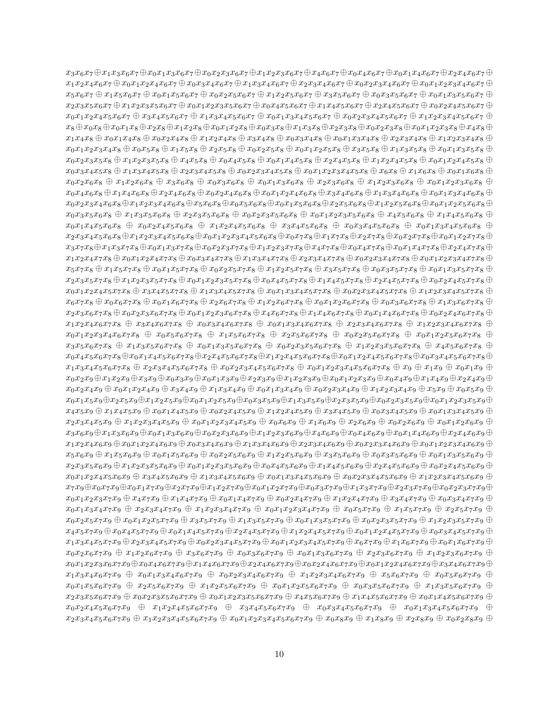$x_3x_6x_7 \oplus x_1x_3x_6x_7 \oplus x_0x_1x_3x_6x_7 \oplus x_0x_2x_3x_6x_7 \oplus x_1x_2x_3x_6x_7 \oplus x_0x_4x_6x_7 \oplus x_0x_1x_4x_6x_7 \oplus x_0x_1x_4x_6x_7 \oplus x_0x_1x_4x_6x_7 \oplus x_0x_1x_4x_6x_7 \oplus x_0x_1x_4x_6x_7 \oplus x_0x_1x_4x_6x_7 \oplus x_0x_1x_4x_6x_7 \$  $x_1x_2x_4x_6x_7 \oplus x_0x_1x_2x_4x_6x_7 \oplus x_0x_3x_4x_6x_7 \oplus x_1x_3x_4x_6x_7 \oplus x_2x_3x_4x_6x_7 \oplus x_0x_2x_3x_4x_6x_7 \oplus x_0x_1x_2x_3x_4x_6x_7 \oplus x_1x_2x_3x_4x_6$  $x_5x_6x_7 \oplus x_1x_5x_6x_7 \oplus x_0x_1x_5x_6x_7 \oplus x_0x_2x_5x_6x_7 \oplus x_1x_2x_5x_6x_7 \oplus x_3x_5x_6x_7 \oplus x_0x_3x_5x_6x_7 \oplus x_0x_1x_3x_5x_6x_7 \oplus x_1x_2x_5$  $x_2x_3x_5x_6x_7 + x_1x_2x_3x_5x_6x_7 + x_0x_1x_2x_3x_5x_6x_7 + x_0x_4x_5x_6x_7 + x_1x_4x_5x_6x_7 + x_2x_4x_5x_6x_7 + x_0x_2x_4x_5x_6x_7 + x_1x_4x_5x_6x_7 + x_1x_4x_5x_6x_7 + x_1x_4x_5x_6x_7 + x_1x_4x_5x_6x_7 + x_1x_4x_5x_6x_7 + x_1x_4x_5x_6x_7 +$  $x_0x_1x_2x_4x_5x_6x_7 + x_3x_4x_5x_6x_7 + x_1x_3x_4x_5x_6x_7 + x_0x_1x_3x_4x_5x_6x_7 + x_0x_2x_3x_4x_5x_6x_7 + x_1x_2x_3x_4x_5x_6x_7 + x_1x_2x_3x_4x_5x_6x_7$  $x_8 \oplus x_0x_8 \oplus x_0x_1x_8 \oplus x_2x_8 \oplus x_1x_2x_8 \oplus x_0x_1x_2x_8 \oplus x_0x_3x_8 \oplus x_1x_3x_8 \oplus x_2x_3x_8 \oplus x_0x_2x_3x_8 \oplus x_0x_1x_2x_3x_8 \oplus x_4x_8 \oplus x_5x_4x_8 \oplus x_6x_5$  $x_1x_4x_8 \oplus x_0x_1x_4x_8 \oplus x_0x_2x_4x_8 \oplus x_1x_2x_4x_8 \oplus x_3x_4x_8 \oplus x_0x_3x_4x_8 \oplus x_0x_1x_3x_4x_8 \oplus x_2x_3x_4x_8 \oplus x_1x_2x_3x_4x_8 \oplus x_1x_2x_3x_4$  $x_0x_1x_2x_3x_4x_8 \oplus x_0x_5x_8 \oplus x_1x_5x_8 \oplus x_2x_5x_8 \oplus x_0x_2x_5x_8 \oplus x_0x_1x_2x_5x_8 \oplus x_1x_3x_5x_8 \oplus x_0x_1x_3x_5x_8 \oplus x_0x_1x_3x_5$  $x_0x_2x_3x_5x_8 \oplus x_1x_2x_3x_5x_8 \oplus x_4x_5x_8 \oplus x_0x_4x_5x_8 \oplus x_0x_1x_4x_5x_8 \oplus x_2x_4x_5x_8 \oplus x_1x_2x_4x_5x_8 \oplus x_0x_1x_2x_4x_5x_8 \oplus x_1x_2x_4x_5$  $x_0x_3x_4x_5x_8 \oplus x_1x_3x_4x_5x_8 \oplus x_2x_3x_4x_5x_8 \oplus x_0x_2x_3x_4x_5x_8 \oplus x_0x_1x_2x_3x_4x_5x_8 \oplus x_0x_1x_6x_8 \oplus x_0x_1x_6x_8 \oplus x_0x_1x_6x_8 \oplus x_1x_6x_8$  $x_0x_2x_6x_8 \oplus x_1x_2x_6x_8 \oplus x_3x_6x_8 \oplus x_0x_3x_6x_8 \oplus x_0x_1x_3x_6x_8 \oplus x_2x_3x_6x_8 \oplus x_1x_2x_3x_6x_8 \oplus x_0x_1x_2x_3x_6x_8 \oplus x_0x_1x_2x_3x_6$  $x_0x_4x_6x_8 \oplus x_1x_4x_6x_8 \oplus x_2x_4x_6x_8 \oplus x_0x_2x_4x_6x_8 \oplus x_0x_1x_2x_4x_6x_8 \oplus x_3x_4x_6x_8 \oplus x_1x_3x_4x_6x_8 \oplus x_0x_1x_3x_4x_6x_8 \oplus x_1x_2x_4x_6x_8$  $x_0x_2x_3x_4x_6x_8 \oplus x_1x_2x_3x_4x_6x_8 \oplus x_5x_6x_8 \oplus x_0x_5x_6x_8 \oplus x_0x_1x_5x_6x_8 \oplus x_2x_5x_6x_8 \oplus x_1x_2x_5x_6x_8 \oplus x_0x_1x_2x_5x_6x_8 \oplus x_0x_1x_2x_5x_6$  $x_0x_3x_5x_6x_8 + x_1x_3x_5x_6x_8 + x_2x_3x_5x_6x_8 + x_0x_2x_3x_5x_6x_8 + x_0x_1x_2x_3x_5x_6x_8 + x_4x_5x_6x_8 + x_1x_4x_5x_6x_8 + x_1x_5x_6x_8 + x_1x_5x_6x_8 + x_1x_5x_6x_8 + x_1x_5x_6x_8 + x_1x_5x_6x_8 + x_1x_5x_6x_8 + x_1x_5x_6x_8 + x_1x_5x_6x_$  $x_0x_1x_4x_5x_6x_8 + x_0x_2x_4x_5x_6x_8 + x_1x_2x_4x_5x_6x_8 + x_3x_4x_5x_6x_8 + x_0x_3x_4x_5x_6x_8 + x_0x_1x_3x_4x_5x_6x_8 + x_1x_2x_4x_5x_6x_8$  $x_2x_3x_4x_5x_6x_8 \oplus x_1x_2x_3x_4x_5x_6x_8 \oplus x_0x_1x_2x_3x_4x_5x_6x_8 \oplus x_0x_7x_8 \oplus x_1x_7x_8 \oplus x_2x_7x_8 \oplus x_0x_2x_7x_8 \oplus x_0x_1x_2x_7x_8 \oplus x_1x_2x_3x_4x_5$  $x_3x_7x_8 \oplus x_1x_3x_7x_8 \oplus x_0x_1x_3x_7x_8 \oplus x_0x_2x_3x_7x_8 \oplus x_1x_2x_3x_7x_8 \oplus x_4x_7x_8 \oplus x_0x_4x_7x_8 \oplus x_0x_1x_4x_7x_8 \oplus x_2x_4x_7x_8 \oplus x_0x_1x_4x_7x_8 \oplus x_0x_1x_4x_7x_8 \oplus x_0x_1x_4x_7x_8 \oplus x_0x_1x_4x_7x_8 \oplus x_0x_1x$  $x_1x_2x_4x_7x_8 \oplus x_0x_1x_2x_4x_7x_8 \oplus x_0x_3x_4x_7x_8 \oplus x_1x_3x_4x_7x_8 \oplus x_2x_3x_4x_7x_8 \oplus x_0x_2x_3x_4x_7x_8 \oplus x_0x_1x_2x_3x_4x_7x_8 \oplus x_0x_1x_2x_3x_4x_7x_8$  $x_5x_7x_8 \oplus x_1x_5x_7x_8 \oplus x_0x_1x_5x_7x_8 \oplus x_0x_2x_5x_7x_8 \oplus x_1x_2x_5x_7x_8 \oplus x_3x_5x_7x_8 \oplus x_0x_3x_5x_7x_8 \oplus x_0x_1x_3x_5x_7x_8 \oplus x_1x_2x_5x_7$  $x_2x_3x_5x_7x_8 \oplus x_1x_2x_3x_5x_7x_8 \oplus x_0x_1x_2x_3x_5x_7x_8 \oplus x_0x_4x_5x_7x_8 \oplus x_1x_4x_5x_7x_8 \oplus x_2x_4x_5x_7x_8 \oplus x_0x_2x_4x_5x_7x_8 \oplus x_0x_2x_4x_5x_7x_8 \oplus x_0x_2x_4x_5x_7x_8 \oplus x_0x_2x_4x_5x_7x_8 \oplus x_0x_2x_4x_5x_7x_8 \$  $x_0x_1x_2x_4x_5x_7x_8 \oplus x_3x_4x_5x_7x_8 \oplus x_1x_3x_4x_5x_7x_8 \oplus x_0x_1x_3x_4x_5x_7x_8 \oplus x_0x_2x_3x_4x_5x_7x_8 \oplus x_1x_2x_3x_4x_5x_7x_8 \oplus x_1x_2x_3x_4x_5x_7x_8 \oplus x_1x_2x_3x_4x_5x_7x_8$  $x_6x_7x_8 \oplus x_0x_6x_7x_8 \oplus x_0x_1x_6x_7x_8 \oplus x_2x_6x_7x_8 \oplus x_1x_2x_6x_7x_8 \oplus x_0x_1x_2x_6x_7x_8 \oplus x_0x_3x_6x_7x_8 \oplus x_1x_3x_6x_7x_8 \oplus x_1x_2x_6$  $x_2x_3x_6x_7x_8 \oplus x_0x_2x_3x_6x_7x_8 \oplus x_0x_1x_2x_3x_6x_7x_8 \oplus x_4x_6x_7x_8 \oplus x_1x_4x_6x_7x_8 \oplus x_0x_1x_4x_6x_7x_8 \oplus x_0x_2x_4x_6x_7x_8 \oplus x_1x_4x_6x_7x_8$  $x_1x_2x_4x_6x_7x_8 \oplus x_3x_4x_6x_7x_8 \oplus x_0x_3x_4x_6x_7x_8 \oplus x_0x_1x_3x_4x_6x_7x_8 \oplus x_2x_3x_4x_6x_7x_8 \oplus x_1x_2x_3x_4x_6x_7x_8 \oplus x_1x_2x_3x_4x_6x_7x_8$  $x_0x_1x_2x_3x_4x_6x_7x_8 \oplus x_0x_5x_6x_7x_8 \oplus x_1x_5x_6x_7x_8 \oplus x_2x_5x_6x_7x_8 \oplus x_0x_2x_5x_6x_7x_8 \oplus x_0x_1x_2x_5x_6x_7x_8 \oplus x_0x_1x_2x_5$  $x_3x_5x_6x_7x_8 + x_1x_3x_5x_6x_7x_8 + x_0x_1x_3x_5x_6x_7x_8 + x_0x_2x_3x_5x_6x_7x_8 + x_1x_2x_3x_5x_6x_7x_8 + x_4x_5x_6x_7x_8 + x_5x_6x_7x_8 + x_6x_7x_8 + x_7x_5x_6x_7$  $x_0x_4x_5x_6x_7x_8 \oplus x_0x_1x_4x_5x_6x_7x_8 \oplus x_2x_4x_5x_6x_7x_8 \oplus x_1x_2x_4x_5x_6x_7x_8 \oplus x_0x_1x_2x_4x_5x_6x_7x_8 \oplus x_0x_3x_4x_5x_6x_7x_8 \oplus x_0x_3x_4x_5x_6x_7x_8 \oplus x_0x_3x_4x_5x_6x_7x_8 \oplus x_0x_3x_4x_5x_6x_7x_8 \oplus x_0x_3x$  $x_1x_3x_4x_5x_6x_7x_8 \oplus x_2x_3x_4x_5x_6x_7x_8 \oplus x_0x_2x_3x_4x_5x_6x_7x_8 \oplus x_0x_1x_2x_3x_4x_5x_6x_7x_8 \oplus x_9 \oplus x_1x_9 \oplus x_0x_1x_9 \oplus x_0x_1x_9$  $x_0x_2x_9 \oplus x_1x_2x_9 \oplus x_3x_9 \oplus x_0x_3x_9 \oplus x_0x_1x_3x_9 \oplus x_2x_3x_9 \oplus x_1x_2x_3x_9 \oplus x_0x_1x_2x_3x_9 \oplus x_0x_4x_9 \oplus x_1x_4x_9 \oplus x_2x_4x_9 \oplus x_3x_4x_9$  $x_0x_2x_4x_9 \oplus x_0x_1x_2x_4x_9 \oplus x_3x_4x_9 \oplus x_1x_3x_4x_9 \oplus x_0x_1x_3x_4x_9 \oplus x_0x_2x_3x_4x_9 \oplus x_1x_2x_3x_4x_9 \oplus x_5x_9 \oplus x_0x_5x_9 \oplus x_1x_2x_3x_4x_9$  $x_0x_1x_5x_9 \oplus x_2x_5x_9 \oplus x_1x_2x_5x_9 \oplus x_0x_1x_2x_5x_9 \oplus x_0x_3x_5x_9 \oplus x_1x_3x_5x_9 \oplus x_2x_3x_5x_9 \oplus x_0x_2x_3x_5x_9 \oplus x_0x_1x_2x_3x_5x_9 \oplus x_0x_2x_3x_5$  $x_4x_5x_9 \oplus x_1x_4x_5x_9 \oplus x_0x_1x_4x_5x_9 \oplus x_0x_2x_4x_5x_9 \oplus x_1x_2x_4x_5x_9 \oplus x_3x_4x_5x_9 \oplus x_0x_3x_4x_5x_9 \oplus x_0x_1x_3x_4x_5x_9 \oplus x_1x_2x_4x_5$  $x_2x_3x_4x_5x_9 \oplus x_1x_2x_3x_4x_5x_9 \oplus x_0x_1x_2x_3x_4x_5x_9 \oplus x_0x_6x_9 \oplus x_1x_6x_9 \oplus x_2x_6x_9 \oplus x_0x_2x_6x_9 \oplus x_0x_1x_2x_6x_9 \oplus x_1x_2x_6x_9$  $x_3x_6x_9 \oplus x_1x_3x_6x_9 \oplus x_0x_1x_3x_6x_9 \oplus x_0x_2x_3x_6x_9 \oplus x_1x_2x_3x_6x_9 \oplus x_4x_6x_9 \oplus x_0x_4x_6x_9 \oplus x_0x_1x_4x_6x_9 \oplus x_2x_4x_6x_9 \oplus x_0x_1x_4x_6$  $x_1x_2x_4x_6x_9 \oplus x_0x_1x_2x_4x_6x_9 \oplus x_0x_3x_4x_6x_9 \oplus x_1x_3x_4x_6x_9 \oplus x_2x_3x_4x_6x_9 \oplus x_0x_2x_3x_4x_6x_9 \oplus x_0x_1x_2x_3x_4x_6x_9 \oplus x_0x_1x_2x_3x_4x_6x_9$  $x_5x_6x_9 \oplus x_1x_5x_6x_9 \oplus x_0x_1x_5x_6x_9 \oplus x_0x_2x_5x_6x_9 \oplus x_1x_2x_5x_6x_9 \oplus x_3x_5x_6x_9 \oplus x_0x_3x_5x_6x_9 \oplus x_0x_1x_3x_5x_6x_9 \oplus x_0x_1x_3x_5$  $x_2x_3x_5x_6x_9 \oplus x_1x_2x_3x_5x_6x_9 \oplus x_0x_1x_2x_3x_5x_6x_9 \oplus x_0x_4x_5x_6x_9 \oplus x_1x_4x_5x_6x_9 \oplus x_2x_4x_5x_6x_9 \oplus x_0x_2x_4x_5x_6x_9 \oplus x_0x_2x_4x_5x_6x_9$  $x_0x_1x_2x_4x_5x_6x_9 \oplus x_3x_4x_5x_6x_9 \oplus x_1x_3x_4x_5x_6x_9 \oplus x_0x_1x_3x_4x_5x_6x_9 \oplus x_0x_2x_3x_4x_5x_6x_9 \oplus x_1x_2x_3x_4x_5x_6x_9 \oplus x_1x_2x_3x_4x_5x_6x_9$  $x_7x_9 \oplus x_0x_7x_9 \oplus x_0x_1x_7x_9 \oplus x_2x_7x_9 \oplus x_1x_2x_7x_9 \oplus x_0x_1x_2x_7x_9 \oplus x_0x_3x_7x_9 \oplus x_1x_3x_7x_9 \oplus x_2x_3x_7x_9 \oplus x_0x_2x_3x_7x_9 \oplus x_0x_2x_3x_7x_9$  $x_0x_1x_2x_3x_7x_9 \oplus x_4x_7x_9 \oplus x_1x_4x_7x_9 \oplus x_0x_1x_4x_7x_9 \oplus x_0x_2x_4x_7x_9 \oplus x_1x_2x_4x_7x_9 \oplus x_3x_4x_7x_9 \oplus x_0x_3x_4x_7x_9 \oplus x_1x_2x_3$  $x_0x_1x_3x_4x_7x_9 \oplus x_2x_3x_4x_7x_9 \oplus x_1x_2x_3x_4x_7x_9 \oplus x_0x_1x_2x_3x_4x_7x_9 \oplus x_0x_5x_7x_9 \oplus x_1x_5x_7x_9 \oplus x_2x_5x_7x_9 \oplus x_1x_2x_3x_4x_7x_9$  $x_0x_2x_5x_7x_9 \oplus x_0x_1x_2x_5x_7x_9 \oplus x_3x_5x_7x_9 \oplus x_1x_3x_5x_7x_9 \oplus x_0x_1x_3x_5x_7x_9 \oplus x_0x_2x_3x_5x_7x_9 \oplus x_1x_2x_3x_5x_7x_9 \oplus x_1x_2x_3x_5x_7$  $x_4x_5x_7x_9 \oplus x_0x_4x_5x_7x_9 \oplus x_0x_1x_4x_5x_7x_9 \oplus x_2x_4x_5x_7x_9 \oplus x_1x_2x_4x_5x_7x_9 \oplus x_0x_1x_2x_4x_5x_7x_9 \oplus x_0x_3x_4x_5x_7x_9 \oplus x_0x_2x_4x_5x_7x_9$  $x_1x_3x_4x_5x_7x_9 \oplus x_2x_3x_4x_5x_7x_9 \oplus x_0x_2x_3x_4x_5x_7x_9 \oplus x_0x_1x_2x_3x_4x_5x_7x_9 \oplus x_6x_7x_9 \oplus x_1x_6x_7x_9 \oplus x_0x_1x_6x_7x_9 \oplus x_0x_2x_3x_4x_5x_7$  $x_0x_2x_6x_7x_9 \oplus x_1x_2x_6x_7x_9 \oplus x_3x_6x_7x_9 \oplus x_0x_3x_6x_7x_9 \oplus x_0x_1x_3x_6x_7x_9 \oplus x_2x_3x_6x_7x_9 \oplus x_1x_2x_3x_6x_7x_9 \oplus x_1x_2x_3x_6x_7x_9$  $x_0x_1x_2x_3x_6x_7x_9 \oplus x_0x_4x_6x_7x_9 \oplus x_1x_4x_6x_7x_9 \oplus x_2x_4x_6x_7x_9 \oplus x_0x_2x_4x_6x_7x_9 \oplus x_0x_1x_2x_4x_6x_7x_9 \oplus x_3x_4x_6x_7x_9 \oplus x_0x_2x_4x_6x_7$  $x_1x_3x_4x_6x_7x_9 \oplus x_0x_1x_3x_4x_6x_7x_9 \oplus x_0x_2x_3x_4x_6x_7x_9 \oplus x_1x_2x_3x_4x_6x_7x_9 \oplus x_5x_6x_7x_9 \oplus x_0x_5x_6x_7x_9 \oplus$  $x_0x_1x_5x_6x_7x_9 \oplus x_2x_5x_6x_7x_9 \oplus x_1x_2x_5x_6x_7x_9 \oplus x_0x_1x_2x_5x_6x_7x_9 \oplus x_0x_3x_5x_6x_7x_9 \oplus x_1x_3x_5x_6x_7x_9 \oplus x_1x_2x_5$  $x_2x_3x_5x_6x_7x_9 \oplus x_0x_2x_3x_5x_6x_7x_9 \oplus x_0x_1x_2x_3x_5x_6x_7x_9 \oplus x_4x_5x_6x_7x_9 \oplus x_1x_4x_5x_6x_7x_9 \oplus x_0x_1x_4x_5x_6x_7x_9 \oplus x_1x_4x_5x_6x_7x_9$  $x_0x_2x_4x_5x_6x_7x_9 \oplus x_1x_2x_4x_5x_6x_7x_9 \oplus x_3x_4x_5x_6x_7x_9 \oplus x_0x_3x_4x_5x_6x_7x_9 \oplus x_0x_1x_3x_4x_5x_6x_7x_9 \oplus x_0x_1x_2x_4x_5x_6x_7$  $x_2x_3x_4x_5x_6x_7x_9 \oplus x_1x_2x_3x_4x_5x_6x_7x_9 \oplus x_0x_1x_2x_3x_4x_5x_6x_7x_9 \oplus x_0x_8x_9 \oplus x_1x_8x_9 \oplus x_2x_8x_9 \oplus x_0x_2x_8x_9 \oplus x_0x_2x_8x_9$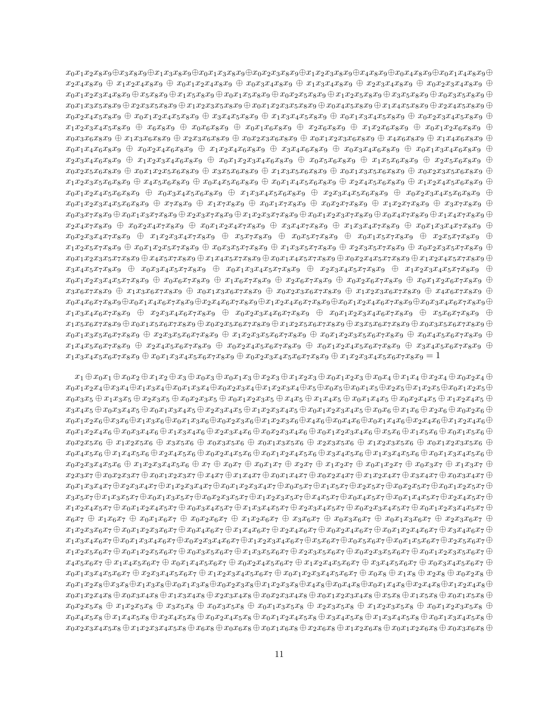$x_0x_1x_2x_8x_9 \oplus x_3x_8x_9 \oplus x_1x_3x_8x_9 \oplus x_0x_1x_3x_8x_9 \oplus x_0x_2x_3x_8x_9 \oplus x_1x_2x_3x_8x_9 \oplus x_0x_4x_8x_9 \oplus x_0x_1x_4x_8x_9 \oplus x_1x_2x_3x_4$  $x_2x_4x_8x_9 \oplus x_1x_2x_4x_8x_9 \oplus x_0x_1x_2x_4x_8x_9 \oplus x_0x_3x_4x_8x_9 \oplus x_1x_3x_4x_8x_9 \oplus x_2x_3x_4x_8x_9 \oplus x_0x_2x_3x_4x_8x_9 \oplus x_0x_3x_4x_8x_9$  $x_0x_1x_2x_3x_4x_8x_9 \oplus x_5x_8x_9 \oplus x_1x_5x_8x_9 \oplus x_0x_1x_5x_8x_9 \oplus x_0x_2x_5x_8x_9 \oplus x_1x_2x_5x_8x_9 \oplus x_3x_5x_8x_9 \oplus x_0x_3x_5x_8x_9 \oplus x_0x_2x_5x_8x_9$  $x_0x_1x_3x_5x_8x_9 \oplus x_2x_3x_5x_8x_9 \oplus x_1x_2x_3x_5x_8x_9 \oplus x_0x_1x_2x_3x_5x_8x_9 \oplus x_0x_4x_5x_8x_9 \oplus x_1x_4x_5x_8x_9 \oplus x_2x_4x_5x_8x_9 \oplus x_2x_4x_5x_8x_9$  $x_0x_2x_4x_5x_8x_9 + x_0x_1x_2x_4x_5x_8x_9 + x_3x_4x_5x_8x_9 + x_1x_3x_4x_5x_8x_9 + x_0x_1x_3x_4x_5x_8x_9 + x_0x_2x_3x_4x_5x_8x_9 + x_0x_3x_4x_5x_8x_9 + x_0x_3x_4x_5x_8x_9 + x_0x_3x_4x_5x_8x_9 + x_0x_3x_4x_5x_8x_9 + x_0x_3x_4x_5x_8x_9 + x_0x_$  $x_1x_2x_3x_4x_5x_8x_9 + x_6x_8x_9 + x_0x_6x_8x_9 + x_0x_1x_6x_8x_9 + x_2x_6x_8x_9 + x_1x_2x_6x_8x_9 + x_0x_1x_2x_6x_8x_9 +$  $x_0x_3x_6x_8x_9 + x_1x_3x_6x_8x_9 + x_2x_3x_6x_8x_9 + x_0x_2x_3x_6x_8x_9 + x_0x_1x_2x_3x_6x_8x_9 + x_4x_6x_8x_9 + x_1x_4x_6x_8x_9 + x_1x_4x_6x_8x_9 + x_1x_4x_6x_8x_9 + x_1x_4x_6x_8x_9 + x_1x_4x_6x_8x_9 + x_1x_4x_6x_8x_9 + x_1x_4x_6x_8x_9 + x_1x_4$  $x_0x_1x_4x_6x_8x_9 + x_0x_2x_4x_6x_8x_9 + x_1x_2x_4x_6x_8x_9 + x_3x_4x_6x_8x_9 + x_0x_3x_4x_6x_8x_9 + x_0x_1x_3x_4x_6x_8x_9 + x_0x_1x_2x_4x_6x_8x_9$  $x_2x_3x_4x_6x_8x_9 + x_1x_2x_3x_4x_6x_8x_9 + x_0x_1x_2x_3x_4x_6x_8x_9 + x_0x_5x_6x_8x_9 + x_1x_5x_6x_8x_9 + x_2x_5x_6x_8x_9 + x_1x_5x_6x_8x_9$  $x_0x_2x_5x_6x_8x_9 + x_0x_1x_2x_5x_6x_8x_9 + x_3x_5x_6x_8x_9 + x_1x_3x_5x_6x_8x_9 + x_0x_1x_3x_5x_6x_8x_9 + x_0x_2x_3x_5x_6x_8x_9 + x_0x_3x_5x_6x_8x_9 + x_0x_3x_5x_6x_8x_9 + x_0x_3x_5x_6x_8x_9 + x_0x_3x_5x_6x_8x_9 + x_0x_3x_5x_6x_8x_9 + x_0x_$  $x_1x_2x_3x_5x_6x_8x_9 + x_4x_5x_6x_8x_9 + x_0x_4x_5x_6x_8x_9 + x_0x_1x_4x_5x_6x_8x_9 + x_2x_4x_5x_6x_8x_9 + x_1x_2x_4x_5x_6x_8x_9 + x_1x_2x_4x_5x_6x_8x_9$  $x_0x_1x_2x_4x_5x_6x_8x_9 \oplus x_0x_3x_4x_5x_6x_8x_9 \oplus x_1x_3x_4x_5x_6x_8x_9 \oplus x_2x_3x_4x_5x_6x_8x_9 \oplus x_0x_2x_3x_4x_5x_6x_8x_9 \oplus$  $x_0x_1x_2x_3x_4x_5x_6x_8x_9 \oplus x_7x_8x_9 \oplus x_1x_7x_8x_9 \oplus x_0x_1x_7x_8x_9 \oplus x_0x_2x_7x_8x_9 \oplus x_1x_2x_7x_8x_9 \oplus x_3x_7x_8x_9$  $x_0x_3x_7x_8x_9 \oplus x_0x_1x_3x_7x_8x_9 \oplus x_2x_3x_7x_8x_9 \oplus x_1x_2x_3x_7x_8x_9 \oplus x_0x_1x_2x_3x_7x_8x_9 \oplus x_0x_4x_7x_8x_9 \oplus x_1x_4x_7x_8x_9 \oplus x_1x_4x_7x_8x_9$  $x_2x_4x_7x_8x_9 + x_0x_2x_4x_7x_8x_9 + x_0x_1x_2x_4x_7x_8x_9 + x_3x_4x_7x_8x_9 + x_1x_3x_4x_7x_8x_9 + x_0x_1x_3x_4x_7x_8x_9 + x_1x_2x_4x_7x_8x_9$  $x_0x_2x_3x_4x_7x_8x_9 \oplus x_1x_2x_3x_4x_7x_8x_9 \oplus x_5x_7x_8x_9 \oplus x_0x_5x_7x_8x_9 \oplus x_0x_1x_5x_7x_8x_9 \oplus x_2x_5x_7x_8x_9 \oplus x_1x_2x_3x_4x_7x_8x_9$  $x_1x_2x_5x_7x_8x_9 + x_0x_1x_2x_5x_7x_8x_9 + x_0x_3x_5x_7x_8x_9 + x_1x_3x_5x_7x_8x_9 + x_2x_3x_5x_7x_8x_9 + x_0x_2x_3x_5x_7x_8x_9 + x_0x_3x_5x_7x_8x_9$  $x_0x_1x_2x_3x_5x_7x_8x_9 \oplus x_4x_5x_7x_8x_9 \oplus x_1x_4x_5x_7x_8x_9 \oplus x_0x_1x_4x_5x_7x_8x_9 \oplus x_0x_2x_4x_5x_7x_8x_9 \oplus x_1x_2x_4x_5x_7x_8x_9 \oplus x_1x_2x_4x_5x_7x_8x_9$  $x_3x_4x_5x_7x_8x_9$   $\oplus$   $x_0x_3x_4x_5x_7x_8x_9$   $\oplus$   $x_0x_1x_3x_4x_5x_7x_8x_9$   $\oplus$   $x_2x_3x_4x_5x_7x_8x_9$   $\oplus$   $x_1x_2x_3x_4x_5x_7x_8x_9$   $\oplus$  $x_0x_1x_2x_3x_4x_5x_7x_8x_9 + x_0x_6x_7x_8x_9 + x_1x_6x_7x_8x_9 + x_2x_6x_7x_8x_9 + x_0x_2x_6x_7x_8x_9 + x_0x_1x_2x_6x_7x_8x_9 + x_0x_1x_2x_6x_7x_8x_9$  $x_3x_6x_7x_8x_9 + x_1x_3x_6x_7x_8x_9 + x_0x_1x_3x_6x_7x_8x_9 + x_0x_2x_3x_6x_7x_8x_9 + x_1x_2x_3x_6x_7x_8x_9 + x_4x_6x_7x_8x_9 + x_5x_6x_7x_8x_9$  $x_0x_4x_6x_7x_8x_9 \oplus x_0x_1x_4x_6x_7x_8x_9 \oplus x_2x_4x_6x_7x_8x_9 \oplus x_1x_2x_4x_6x_7x_8x_9 \oplus x_0x_1x_2x_4x_6x_7x_8x_9 \oplus x_0x_3x_4x_6x_7x_8x_9 \oplus x_0x_3x_4x_6x_7x_8x_9$  $x_1x_3x_4x_6x_7x_8x_9$   $\oplus$   $x_2x_3x_4x_6x_7x_8x_9$   $\oplus$   $x_0x_2x_3x_4x_6x_7x_8x_9$   $\oplus$   $x_0x_1x_2x_3x_4x_6x_7x_8x_9$   $\oplus$   $x_5x_6x_7x_8x_9$   $\oplus$  $x_1x_5x_6x_7x_8x_9 \oplus x_0x_1x_5x_6x_7x_8x_9 \oplus x_0x_2x_5x_6x_7x_8x_9 \oplus x_1x_2x_5x_6x_7x_8x_9 \oplus x_3x_5x_6x_7x_8x_9 \oplus x_0x_3x_5x_6x_7x_8x_9 \oplus x_0x_3x_5x_6x_7x_8x_9$  $x_0x_1x_3x_5x_6x_7x_8x_9 + x_2x_3x_5x_6x_7x_8x_9 + x_1x_2x_3x_5x_6x_7x_8x_9 + x_0x_1x_2x_3x_5x_6x_7x_8x_9 + x_0x_4x_5x_6x_7x_8x_9 + x_0x_5x_6x_7x_8x_9$  $x_1x_4x_5x_6x_7x_8x_9 + x_2x_4x_5x_6x_7x_8x_9 + x_0x_2x_4x_5x_6x_7x_8x_9 + x_0x_1x_2x_4x_5x_6x_7x_8x_9 + x_3x_4x_5x_6x_7x_8x_9 + x_0x_1x_2x_4x_5x_6x_7x_8x_9$  $x_1x_3x_4x_5x_6x_7x_8x_9 + x_0x_1x_3x_4x_5x_6x_7x_8x_9 + x_0x_2x_3x_4x_5x_6x_7x_8x_9 + x_1x_2x_3x_4x_5x_6x_7x_8x_9 = 1$ 

 $x_1 \oplus x_0x_1 \oplus x_0x_2 \oplus x_1x_2 \oplus x_3 \oplus x_0x_3 \oplus x_0x_1x_3 \oplus x_2x_3 \oplus x_1x_2x_3 \oplus x_0x_1x_2x_3 \oplus x_0x_4 \oplus x_1x_4 \oplus x_2x_4 \oplus x_0x_2x_4 \oplus x_1x_4$  $x_0x_1x_2x_4 \oplus x_3x_4 \oplus x_1x_3x_4 \oplus x_0x_1x_3x_4 \oplus x_0x_2x_3x_4 \oplus x_1x_2x_3x_4 \oplus x_5 \oplus x_0x_5 \oplus x_0x_1x_5 \oplus x_2x_5 \oplus x_1x_2x_5 \oplus x_0x_1x_2x_5 \oplus x_0x_1x_2x_5 \oplus x_1x_2x_5 \oplus x_1x_2x_5 \oplus x_1x_2x_5 \oplus x_1x_2x_5 \oplus x_1x_2x_5 \oplus x$  $x_0x_3x_5 \oplus x_1x_3x_5 \oplus x_2x_3x_5 \oplus x_0x_2x_3x_5 \oplus x_0x_1x_2x_3x_5 \oplus x_4x_5 \oplus x_1x_4x_5 \oplus x_0x_1x_4x_5 \oplus x_0x_2x_4x_5 \oplus x_1x_2x_4x_5 \oplus x_1x_2x_4x_5$  $x_3x_4x_5 \oplus x_0x_3x_4x_5 \oplus x_0x_1x_3x_4x_5 \oplus x_2x_3x_4x_5 \oplus x_1x_2x_3x_4x_5 \oplus x_0x_1x_2x_3x_4x_5 \oplus x_0x_6 \oplus x_1x_6 \oplus x_2x_6 \oplus x_0x_2x_6 \oplus x_1x_2x_3$  $x_0x_1x_2x_6 \oplus x_3x_6 \oplus x_1x_3x_6 \oplus x_0x_1x_3x_6 \oplus x_0x_2x_3x_6 \oplus x_1x_2x_3x_6 \oplus x_4x_6 \oplus x_0x_4x_6 \oplus x_0x_1x_4x_6 \oplus x_2x_4x_6 \oplus x_1x_2x_4x_6 \oplus x_1x_2x_4x_6 \oplus x_2x_4x_6$  $x_0x_1x_2x_4x_6 \oplus x_0x_3x_4x_6 \oplus x_1x_3x_4x_6 \oplus x_2x_3x_4x_6 \oplus x_0x_2x_3x_4x_6 \oplus x_0x_1x_2x_3x_4x_6 \oplus x_1x_5x_6 \oplus x_1x_5x_6 \oplus x_0x_1x_5x_6 \oplus x_1x_5x_6$  $x_0x_2x_5x_6 + x_1x_2x_5x_6 + x_3x_5x_6 + x_0x_3x_5x_6 + x_0x_1x_3x_5x_6 + x_2x_3x_5x_6 + x_1x_2x_3x_5x_6 + x_0x_1x_2x_3x_5x_6 + x_1x_2x_3x_5x_6 + x_1x_2x_3x_5x_6 + x_1x_2x_3x_5x_6 + x_1x_2x_3x_5x_6 + x_1x_2x_3x_5x_6 + x_1x_2x_3x_5x_6 + x_1x_2x_3x_$  $x_0x_4x_5x_6 \oplus x_1x_4x_5x_6 \oplus x_2x_4x_5x_6 \oplus x_0x_2x_4x_5x_6 \oplus x_0x_1x_2x_4x_5x_6 \oplus x_3x_4x_5x_6 \oplus x_1x_3x_4x_5x_6 \oplus x_0x_1x_3x_4x_5x_6 \oplus x_0x_1x_3x_4x_5$  $x_0x_2x_3x_4x_5x_6 \oplus x_1x_2x_3x_4x_5x_6 \oplus x_7 \oplus x_0x_7 \oplus x_0x_1x_7 \oplus x_2x_7 \oplus x_1x_2x_7 \oplus x_0x_1x_2x_7 \oplus x_0x_3x_7 \oplus x_1x_3x_7 \oplus x_1x_2x_7$  $x_2x_3x_7 \oplus x_0x_2x_3x_7 \oplus x_0x_1x_2x_3x_7 \oplus x_4x_7 \oplus x_1x_4x_7 \oplus x_0x_1x_4x_7 \oplus x_0x_2x_4x_7 \oplus x_1x_2x_4x_7 \oplus x_3x_4x_7 \oplus x_0x_3x_4x_7 \oplus x_1x_2x_4$  $x_0x_1x_3x_4x_7 \oplus x_2x_3x_4x_7 \oplus x_1x_2x_3x_4x_7 \oplus x_0x_1x_2x_3x_4x_7 \oplus x_0x_5x_7 \oplus x_1x_5x_7 \oplus x_2x_5x_7 \oplus x_0x_2x_5x_7 \oplus x_0x_1x_2x_5x_7 \oplus x_0x_1x_2x_5$  $x_3x_5x_7 \oplus x_1x_3x_5x_7 \oplus x_0x_1x_3x_5x_7 \oplus x_0x_2x_3x_5x_7 \oplus x_1x_2x_3x_5x_7 \oplus x_4x_5x_7 \oplus x_0x_4x_5x_7 \oplus x_0x_1x_4x_5x_7 \oplus x_2x_4x_5x_7 \oplus x_2x_4x_5$  $x_1x_2x_4x_5x_7 \oplus x_0x_1x_2x_4x_5x_7 \oplus x_0x_3x_4x_5x_7 \oplus x_1x_3x_4x_5x_7 \oplus x_2x_3x_4x_5x_7 \oplus x_0x_2x_3x_4x_5x_7 \oplus x_0x_1x_2x_3x_4x_5x_7 \oplus x_0x_1x_2x_3x_4x_5x_7$  $x_6x_7 \oplus x_1x_6x_7 \oplus x_0x_1x_6x_7 \oplus x_0x_2x_6x_7 \oplus x_1x_2x_6x_7 \oplus x_3x_6x_7 \oplus x_0x_3x_6x_7 \oplus x_0x_1x_3x_6x_7 \oplus x_2x_3x_6x_7 \oplus x_3x_6$  $x_1x_2x_3x_6x_7 \oplus x_0x_1x_2x_3x_6x_7 \oplus x_0x_4x_6x_7 \oplus x_1x_4x_6x_7 \oplus x_2x_4x_6x_7 \oplus x_0x_2x_4x_6x_7 \oplus x_0x_1x_2x_4x_6x_7 \oplus x_3x_4x_6x_7 \oplus x_1x_2x_4x_6$  $x_1x_3x_4x_6x_7 \oplus x_0x_1x_3x_4x_6x_7 \oplus x_0x_2x_3x_4x_6x_7 \oplus x_1x_2x_3x_4x_6x_7 \oplus x_5x_6x_7 \oplus x_0x_5x_6x_7 \oplus x_0x_1x_5x_6x_7 \oplus x_2x_5x_6x_7 \oplus x_2x_5x_6$  $x_1x_2x_5x_6x_7 + x_0x_1x_2x_5x_6x_7 + x_0x_3x_5x_6x_7 + x_1x_3x_5x_6x_7 + x_2x_3x_5x_6x_7 + x_0x_2x_3x_5x_6x_7 + x_0x_1x_2x_3x_5x_6x_7 + x_0x_1x_2x_3x_5x_6x_7$  $x_4x_5x_6x_7 \oplus x_1x_4x_5x_6x_7 \oplus x_0x_1x_4x_5x_6x_7 \oplus x_0x_2x_4x_5x_6x_7 \oplus x_1x_2x_4x_5x_6x_7 \oplus x_3x_4x_5x_6x_7 \oplus x_0x_3x_4x_5x_6x_7 \oplus x_1x_2x_4x_5$  $x_0x_1x_3x_4x_5x_6x_7 + x_2x_3x_4x_5x_6x_7 + x_1x_2x_3x_4x_5x_6x_7 + x_0x_1x_2x_3x_4x_5x_6x_7 + x_0x_2x_8 + x_1x_8 + x_2x_8 + x_0x_2x_8 + x_1x_2x_3$  $x_0x_1x_2x_8 \oplus x_3x_8 \oplus x_1x_3x_8 \oplus x_0x_1x_3x_8 \oplus x_0x_2x_3x_8 \oplus x_1x_2x_3x_8 \oplus x_0x_4x_8 \oplus x_0x_1x_4x_8 \oplus x_2x_4x_8 \oplus x_1x_2x_4x_8 \oplus x_1x_2x_4x_8 \oplus x_1x_2x_4x_8 \oplus x_1x_2x_4x_8 \oplus x_1x_2x_4x_8 \oplus x_1x_2x_4x_8 \oplus x_1x_2x_4x$  $x_0x_1x_2x_4x_8 \oplus x_0x_3x_4x_8 \oplus x_1x_3x_4x_8 \oplus x_2x_3x_4x_8 \oplus x_0x_2x_3x_4x_8 \oplus x_0x_1x_2x_3x_4x_8 \oplus x_1x_5x_8 \oplus x_0x_1x_5x_8 \oplus x_0x_1x_5x_8 \oplus x_1x_5x_8$  $x_0x_2x_5x_8 + x_1x_2x_5x_8 + x_3x_5x_8 + x_0x_3x_5x_8 + x_0x_1x_3x_5x_8 + x_2x_3x_5x_8 + x_1x_2x_3x_5x_8 + x_0x_1x_2x_3x_5x_8 +$  $x_0x_4x_5x_8 \oplus x_1x_4x_5x_8 \oplus x_2x_4x_5x_8 \oplus x_0x_2x_4x_5x_8 \oplus x_0x_1x_2x_4x_5x_8 \oplus x_3x_4x_5x_8 \oplus x_1x_3x_4x_5x_8 \oplus x_0x_1x_3x_4x_5x_8 \oplus x_0x_1x_3x_4x_5$  $x_0x_2x_3x_4x_5x_8 \oplus x_1x_2x_3x_4x_5x_8 \oplus x_6x_8 \oplus x_0x_6x_8 \oplus x_0x_1x_6x_8 \oplus x_2x_6x_8 \oplus x_1x_2x_6x_8 \oplus x_0x_1x_2x_6x_8 \oplus x_0x_1x_2x_6x_8 \oplus x_0x_3x_6x_8 \oplus x_0x_2x_6$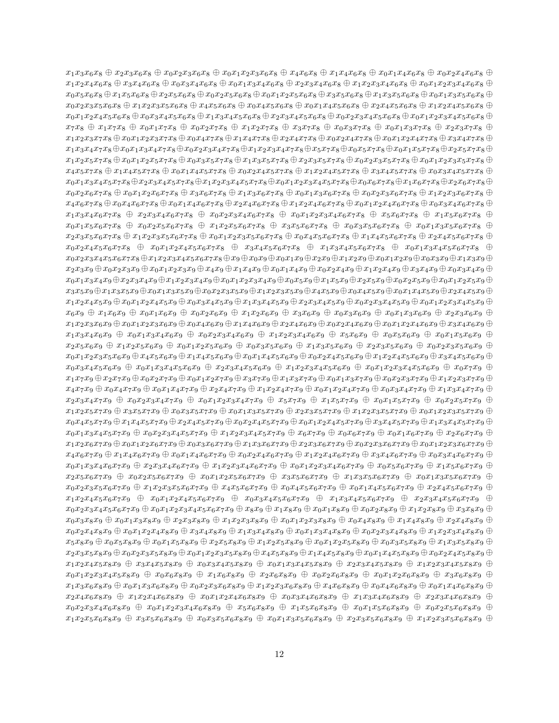$x_1x_3x_6x_8 + x_2x_3x_6x_8 + x_0x_2x_3x_6x_8 + x_0x_1x_2x_3x_6x_8 + x_4x_6x_8 + x_1x_4x_6x_8 + x_0x_1x_4x_6x_8 + x_0x_2x_4x_6x_8 + x_1x_3x_6x_8 + x_1x_4x_6x_8 + x_1x_4x_6x_8 + x_1x_4x_6x_8 + x_1x_4x_6x_8 + x_1x_4x_6x_8 + x_1x_4x_6x_8 + x_1x_4x_6x_8 +$  $x_1x_2x_4x_6x_8 \oplus x_3x_4x_6x_8 \oplus x_0x_3x_4x_6x_8 \oplus x_0x_1x_3x_4x_6x_8 \oplus x_2x_3x_4x_6x_8 \oplus x_1x_2x_3x_4x_6x_8 \oplus x_0x_1x_2x_3x_4x_6x_8 \oplus x_1x_2x_3x_4x_6x_8$  $x_0x_5x_6x_8 \oplus x_1x_5x_6x_8 \oplus x_2x_5x_6x_8 \oplus x_0x_2x_5x_6x_8 \oplus x_0x_1x_2x_5x_6x_8 \oplus x_3x_5x_6x_8 \oplus x_1x_3x_5x_6x_8 \oplus x_0x_1x_3x_5x_6x_8 \oplus x_0x_1x_3x_5x_6$  $x_0x_2x_3x_5x_6x_8 \oplus x_1x_2x_3x_5x_6x_8 \oplus x_4x_5x_6x_8 \oplus x_0x_4x_5x_6x_8 \oplus x_0x_1x_4x_5x_6x_8 \oplus x_2x_4x_5x_6x_8 \oplus x_1x_2x_4x_5x_6x_8 \oplus x_1x_2x_4x_5x_6$  $x_0x_1x_2x_4x_5x_6x_8 \oplus x_0x_3x_4x_5x_6x_8 \oplus x_1x_3x_4x_5x_6x_8 \oplus x_2x_3x_4x_5x_6x_8 \oplus x_0x_2x_3x_4x_5x_6x_8 \oplus x_0x_1x_2x_3x_4x_5x_6x_8 \oplus x_0x_1x_2x_3x_4x_5x_6$  $x_7x_8 \oplus x_1x_7x_8 \oplus x_0x_1x_7x_8 \oplus x_0x_2x_7x_8 \oplus x_1x_2x_7x_8 \oplus x_3x_7x_8 \oplus x_0x_3x_7x_8 \oplus x_0x_1x_3x_7x_8 \oplus x_2x_3x_7x_8 \oplus x_3x_7x_8$  $x_1x_2x_3x_7x_8 \oplus x_0x_1x_2x_3x_7x_8 \oplus x_0x_4x_7x_8 \oplus x_1x_4x_7x_8 \oplus x_2x_4x_7x_8 \oplus x_0x_2x_4x_7x_8 \oplus x_0x_1x_2x_4x_7x_8 \oplus x_3x_4x_7x_8 \oplus x_0x_1x_2x_4$  $x_1x_3x_4x_7x_8 \oplus x_0x_1x_3x_4x_7x_8 \oplus x_0x_2x_3x_4x_7x_8 \oplus x_1x_2x_3x_4x_7x_8 \oplus x_5x_7x_8 \oplus x_0x_5x_7x_8 \oplus x_0x_1x_5x_7x_8 \oplus x_2x_5x_7x_8 \oplus x_1x_2x_3x_4x_7$  $x_1x_2x_5x_7x_8 \oplus x_0x_1x_2x_5x_7x_8 \oplus x_0x_3x_5x_7x_8 \oplus x_1x_3x_5x_7x_8 \oplus x_2x_3x_5x_7x_8 \oplus x_0x_2x_3x_5x_7x_8 \oplus x_0x_1x_2x_3x_5x_7x_8 \oplus x_0x_1x_2x_3x_5x_7x_8 \oplus x_0x_1x_2x_3x_5x_7$  $x_4x_5x_7x_8 \oplus x_1x_4x_5x_7x_8 \oplus x_0x_1x_4x_5x_7x_8 \oplus x_0x_2x_4x_5x_7x_8 \oplus x_1x_2x_4x_5x_7x_8 \oplus x_3x_4x_5x_7x_8 \oplus x_0x_3x_4x_5x_7x_8 \oplus x_1x_2x_4x_5$  $x_0x_1x_3x_4x_5x_7x_8 \oplus x_2x_3x_4x_5x_7x_8 \oplus x_1x_2x_3x_4x_5x_7x_8 \oplus x_0x_6x_7x_8 \oplus x_1x_6x_7x_8 \oplus x_2x_6x_7x_8 \oplus x_2x_6x_7x_8 \oplus x_2x_6x_7x_8 \oplus x_2x_6x_7x_8 \oplus x_2x_6x_7x_8 \oplus x_2x_6x_7x_8 \oplus x_2x_6x_7x_8 \oplus x_2x_6x_7x_8 \oplus x$  $x_0x_2x_6x_7x_8 \oplus x_0x_1x_2x_6x_7x_8 \oplus x_3x_6x_7x_8 \oplus x_1x_3x_6x_7x_8 \oplus x_0x_1x_3x_6x_7x_8 \oplus x_0x_2x_3x_6x_7x_8 \oplus x_1x_2x_3x_6x_7x_8 \oplus x_1x_2x_3x_6$  $x_4x_6x_7x_8 \oplus x_0x_4x_6x_7x_8 \oplus x_0x_1x_4x_6x_7x_8 \oplus x_2x_4x_6x_7x_8 \oplus x_1x_2x_4x_6x_7x_8 \oplus x_0x_1x_2x_4x_6x_7x_8 \oplus x_0x_3x_4x_6x_7x_8 \oplus x_1x_2x_4x_6$  $x_1x_3x_4x_6x_7x_8 \oplus x_2x_3x_4x_6x_7x_8 \oplus x_0x_2x_3x_4x_6x_7x_8 \oplus x_0x_1x_2x_3x_4x_6x_7x_8 \oplus x_5x_6x_7x_8 \oplus x_1x_5x_6x_7x_8 \oplus x_1x_2x_3x_4x_6x_7$  $x_0x_1x_5x_6x_7x_8 + x_0x_2x_5x_6x_7x_8 + x_1x_2x_5x_6x_7x_8 + x_3x_5x_6x_7x_8 + x_0x_3x_5x_6x_7x_8 + x_0x_1x_3x_5x_6x_7x_8 + x_1x_2x_5x_6x_7x_8$  $x_2x_3x_5x_6x_7x_8 + x_1x_2x_3x_5x_6x_7x_8 + x_0x_1x_2x_3x_5x_6x_7x_8 + x_0x_4x_5x_6x_7x_8 + x_1x_4x_5x_6x_7x_8 + x_2x_4x_5x_6x_7x_8 + x_3x_4x_5x_6$  $x_0x_2x_4x_5x_6x_7x_8$   $\oplus x_0x_1x_2x_4x_5x_6x_7x_8$   $\oplus x_3x_4x_5x_6x_7x_8$   $\oplus x_1x_3x_4x_5x_6x_7x_8$   $\oplus x_0x_1x_3x_4x_5x_6x_7x_8$   $\oplus x_0x_1x_2x_4x_5x_6x_7$  $x_0x_2x_3x_4x_5x_6x_7x_8 \oplus x_1x_2x_3x_4x_5x_6x_7x_8 \oplus x_9 \oplus x_0x_9 \oplus x_0x_1x_9 \oplus x_2x_9 \oplus x_1x_2x_9 \oplus x_0x_1x_2x_9 \oplus x_0x_3x_9 \oplus x_1x_3x_9 \oplus x_1x_3x_9 \oplus x_1x_2x_9$  $x_2x_3x_9 \oplus x_0x_2x_3x_9 \oplus x_0x_1x_2x_3x_9 \oplus x_4x_9 \oplus x_1x_4x_9 \oplus x_0x_1x_4x_9 \oplus x_0x_2x_4x_9 \oplus x_1x_2x_4x_9 \oplus x_3x_4x_9 \oplus x_0x_3x_4x_9 \oplus x_1x_2x_3$  $x_0x_1x_3x_4x_9 \oplus x_2x_3x_4x_9 \oplus x_1x_2x_3x_4x_9 \oplus x_0x_1x_2x_3x_4x_9 \oplus x_0x_5x_9 \oplus x_1x_5x_9 \oplus x_2x_5x_9 \oplus x_0x_2x_5x_9 \oplus x_0x_1x_2x_5x_9 \oplus x_0x_2x_3x_4$  $x_3x_5x_9 \oplus x_1x_3x_5x_9 \oplus x_0x_1x_3x_5x_9 \oplus x_0x_2x_3x_5x_9 \oplus x_1x_2x_3x_5x_9 \oplus x_4x_5x_9 \oplus x_0x_4x_5x_9 \oplus x_0x_1x_4x_5x_9 \oplus x_2x_4x_5x_9 \oplus x_1x_2x_3x_5$  $x_1x_2x_4x_5x_9 \oplus x_0x_1x_2x_4x_5x_9 \oplus x_0x_3x_4x_5x_9 \oplus x_1x_3x_4x_5x_9 \oplus x_2x_3x_4x_5x_9 \oplus x_0x_2x_3x_4x_5x_9 \oplus x_0x_1x_2x_3x_4x_5x_9 \oplus x_0x_1x_2x_3x_4x_5x_9$  $x_6x_9 \oplus x_1x_6x_9 \oplus x_0x_1x_6x_9 \oplus x_0x_2x_6x_9 \oplus x_1x_2x_6x_9 \oplus x_3x_6x_9 \oplus x_0x_3x_6x_9 \oplus x_0x_1x_3x_6x_9 \oplus x_2x_3x_6x_9 \oplus x_3x_6x_9$  $x_1x_2x_3x_6x_9 \oplus x_0x_1x_2x_3x_6x_9 \oplus x_0x_4x_6x_9 \oplus x_1x_4x_6x_9 \oplus x_2x_4x_6x_9 \oplus x_0x_2x_4x_6x_9 \oplus x_0x_1x_2x_4x_6x_9 \oplus x_3x_4x_6x_9 \oplus x_1x_2x_4x_6x_9$  $x_1x_3x_4x_6x_9 \oplus x_0x_1x_3x_4x_6x_9 \oplus x_0x_2x_3x_4x_6x_9 \oplus x_1x_2x_3x_4x_6x_9 \oplus x_5x_6x_9 \oplus x_0x_5x_6x_9 \oplus x_0x_1x_5x_6x_9 \oplus$  $x_2x_5x_6x_9 \oplus x_1x_2x_5x_6x_9 \oplus x_0x_1x_2x_5x_6x_9 \oplus x_0x_3x_5x_6x_9 \oplus x_1x_3x_5x_6x_9 \oplus x_2x_3x_5x_6x_9 \oplus x_0x_2x_3x_5x_6x_9 \oplus x_0x_2x_3x_5x_6x_9$  $x_0x_1x_2x_3x_5x_6x_9 \oplus x_4x_5x_6x_9 \oplus x_1x_4x_5x_6x_9 \oplus x_0x_1x_4x_5x_6x_9 \oplus x_0x_2x_4x_5x_6x_9 \oplus x_1x_2x_4x_5x_6x_9 \oplus x_3x_4x_5x_6x_9 \oplus x_4x_5x_6x_9$  $x_0x_3x_4x_5x_6x_9 + x_0x_1x_3x_4x_5x_6x_9 + x_2x_3x_4x_5x_6x_9 + x_1x_2x_3x_4x_5x_6x_9 + x_0x_1x_2x_3x_4x_5x_6x_9 + x_0x_7x_9 + x_1x_2x_3x_4x_5x_6x_9$  $x_1x_7x_9 \oplus x_2x_7x_9 \oplus x_0x_2x_7x_9 \oplus x_0x_1x_2x_7x_9 \oplus x_3x_7x_9 \oplus x_1x_3x_7x_9 \oplus x_0x_1x_3x_7x_9 \oplus x_0x_2x_3x_7x_9 \oplus x_1x_2x_3x_7x_9 \oplus x_1x_2x_3x_7x_9$  $x_4x_7x_9 \oplus x_0x_4x_7x_9 \oplus x_0x_1x_4x_7x_9 \oplus x_2x_4x_7x_9 \oplus x_1x_2x_4x_7x_9 \oplus x_0x_1x_2x_4x_7x_9 \oplus x_0x_3x_4x_7x_9 \oplus x_1x_3x_4x_7x_9 \oplus x_1x_2x_4x_7x_9$  $x_2x_3x_4x_7x_9 \oplus x_0x_2x_3x_4x_7x_9 \oplus x_0x_1x_2x_3x_4x_7x_9 \oplus x_5x_7x_9 \oplus x_1x_5x_7x_9 \oplus x_0x_1x_5x_7x_9 \oplus x_0x_2x_5x_7x_9 \oplus x_0x_1x_5x_7$  $x_1x_2x_5x_7x_9 \oplus x_3x_5x_7x_9 \oplus x_0x_3x_5x_7x_9 \oplus x_0x_1x_3x_5x_7x_9 \oplus x_2x_3x_5x_7x_9 \oplus x_1x_2x_3x_5x_7x_9 \oplus x_0x_1x_2x_3x_5x_7x_9 \oplus x_1x_2x_3x_5x_7x_9$  $x_0x_4x_5x_7x_9 \oplus x_1x_4x_5x_7x_9 \oplus x_2x_4x_5x_7x_9 \oplus x_0x_2x_4x_5x_7x_9 \oplus x_0x_1x_2x_4x_5x_7x_9 \oplus x_3x_4x_5x_7x_9 \oplus x_1x_3x_4x_5x_7x_9 \oplus x_1x_3x_4x_5x_7x_9$  $x_0x_1x_3x_4x_5x_7x_9 \oplus x_0x_2x_3x_4x_5x_7x_9 \oplus x_1x_2x_3x_4x_5x_7x_9 \oplus x_6x_7x_9 \oplus x_0x_6x_7x_9 \oplus x_0x_1x_6x_7x_9 \oplus x_2x_6x_7x_9 \oplus x_0x_1x_6$  $x_1x_2x_6x_7x_9 \oplus x_0x_1x_2x_6x_7x_9 \oplus x_0x_3x_6x_7x_9 \oplus x_1x_3x_6x_7x_9 \oplus x_2x_3x_6x_7x_9 \oplus x_0x_2x_3x_6x_7x_9 \oplus x_0x_1x_2x_3x_6x_7x_9 \oplus x_0x_2x_3x_6$  $x_4x_6x_7x_9 \oplus x_1x_4x_6x_7x_9 \oplus x_0x_1x_4x_6x_7x_9 \oplus x_0x_2x_4x_6x_7x_9 \oplus x_1x_2x_4x_6x_7x_9 \oplus x_3x_4x_6x_7x_9 \oplus x_0x_3x_4x_6x_7x_9 \oplus x_1x_2x_3x_4$  $x_0x_1x_3x_4x_6x_7x_9 \oplus x_2x_3x_4x_6x_7x_9 \oplus x_1x_2x_3x_4x_6x_7x_9 \oplus x_0x_1x_2x_3x_4x_6x_7x_9 \oplus x_0x_5x_6x_7x_9 \oplus x_1x_5x_6x_7x_9 \oplus x_1x_5x_6x_7x_9$  $x_2x_5x_6x_7x_9 \oplus x_0x_2x_5x_6x_7x_9 \oplus x_0x_1x_2x_5x_6x_7x_9 \oplus x_3x_5x_6x_7x_9 \oplus x_1x_3x_5x_6x_7x_9 \oplus x_0x_1x_3x_5x_6x_7x_9 \oplus x_0x_1x_3x_5x_6x_7x_9$  $x_0x_2x_3x_5x_6x_7x_9 + x_1x_2x_3x_5x_6x_7x_9 + x_4x_5x_6x_7x_9 + x_0x_4x_5x_6x_7x_9 + x_0x_1x_4x_5x_6x_7x_9 + x_2x_4x_5x_6x_7x_9 + x_0x_2x_3x_5x_6x_7x_9$  $x_1x_2x_4x_5x_6x_7x_9$   $\oplus$   $x_0x_1x_2x_4x_5x_6x_7x_9$   $\oplus$   $x_0x_3x_4x_5x_6x_7x_9$   $\oplus$   $x_1x_3x_4x_5x_6x_7x_9$   $\oplus$   $x_2x_3x_4x_5x_6x_7x_9$   $\oplus$  $x_0x_2x_3x_4x_5x_6x_7x_9 \oplus x_0x_1x_2x_3x_4x_5x_6x_7x_9 \oplus x_8x_9 \oplus x_1x_8x_9 \oplus x_0x_2x_8x_9 \oplus x_1x_2x_8x_9 \oplus x_1x_2x_8x_9 \oplus x_3x_8x_9 \oplus x_4x_5x_6$  $x_0x_3x_8x_9 \oplus x_0x_1x_3x_8x_9 \oplus x_2x_3x_8x_9 \oplus x_1x_2x_3x_8x_9 \oplus x_0x_1x_2x_3x_8x_9 \oplus x_0x_4x_8x_9 \oplus x_1x_4x_8x_9 \oplus x_2x_4x_8x_9 \oplus x_3x_4x_8x_9$  $x_0x_2x_4x_8x_9 \oplus x_0x_1x_2x_4x_8x_9 \oplus x_3x_4x_8x_9 \oplus x_1x_3x_4x_8x_9 \oplus x_0x_1x_3x_4x_8x_9 \oplus x_0x_2x_3x_4x_8x_9 \oplus x_1x_2x_3x_4x_8x_9 \oplus x_1x_2x_3x_4x_8x_9$  $x_5x_8x_9 \oplus x_0x_5x_8x_9 \oplus x_0x_1x_5x_8x_9 \oplus x_2x_5x_8x_9 \oplus x_1x_2x_5x_8x_9 \oplus x_0x_1x_2x_5x_8x_9 \oplus x_0x_3x_5x_8x_9 \oplus x_1x_3x_5x_8x_9 \oplus x_1x_2x_5x_8x_9$  $x_2x_3x_5x_8x_9 \oplus x_0x_2x_3x_5x_8x_9 \oplus x_0x_1x_2x_3x_5x_8x_9 \oplus x_4x_5x_8x_9 \oplus x_1x_4x_5x_8x_9 \oplus x_0x_1x_4x_5x_8x_9 \oplus x_0x_2x_4x_5x_8x_9 \oplus x_0x_2x_4x_5x_8x_9$  $x_1x_2x_4x_5x_8x_9 + x_3x_4x_5x_8x_9 + x_0x_3x_4x_5x_8x_9 + x_0x_1x_3x_4x_5x_8x_9 + x_2x_3x_4x_5x_8x_9 + x_1x_2x_3x_4x_5x_8x_9 + x_1x_2x_3x_4x_5x_8x_9$  $x_0x_1x_2x_3x_4x_5x_8x_9 \oplus x_0x_6x_8x_9 \oplus x_1x_6x_8x_9 \oplus x_2x_6x_8x_9 \oplus x_0x_2x_6x_8x_9 \oplus x_0x_1x_2x_6x_8x_9 \oplus x_3x_6x_8x_9 \oplus x_4x_5x_8x_9$  $x_1x_3x_6x_8x_9 + x_0x_1x_3x_6x_8x_9 + x_0x_2x_3x_6x_8x_9 + x_1x_2x_3x_6x_8x_9 + x_4x_6x_8x_9 + x_0x_4x_6x_8x_9 + x_0x_1x_4x_6x_8x_9 + x_0x_1x_2x_3x_6x_8$  $x_2x_4x_6x_8x_9 + x_1x_2x_4x_6x_8x_9 + x_0x_1x_2x_4x_6x_8x_9 + x_0x_3x_4x_6x_8x_9 + x_1x_3x_4x_6x_8x_9 + x_2x_3x_4x_6x_8x_9 + x_3x_4x_6x_8x_9 + x_4x_4x_6x_8x_9 + x_4x_4x_6x_8x_9 + x_5x_4x_6x_8x_9 + x_6x_5x_6x_9$  $x_0x_2x_3x_4x_6x_8x_9 \oplus x_0x_1x_2x_3x_4x_6x_8x_9 \oplus x_5x_6x_8x_9 \oplus x_1x_5x_6x_8x_9 \oplus x_0x_1x_5x_6x_8x_9 \oplus x_0x_2x_5x_6x_8x_9 \oplus x_0x_2x_3x_4x_6x_8x_9$  $x_1x_2x_5x_6x_8x_9 + x_3x_5x_6x_8x_9 + x_0x_3x_5x_6x_8x_9 + x_0x_1x_3x_5x_6x_8x_9 + x_2x_3x_5x_6x_8x_9 + x_1x_2x_3x_5x_6x_8x_9 + x_1x_2x_3x_5x_6x_8x_9$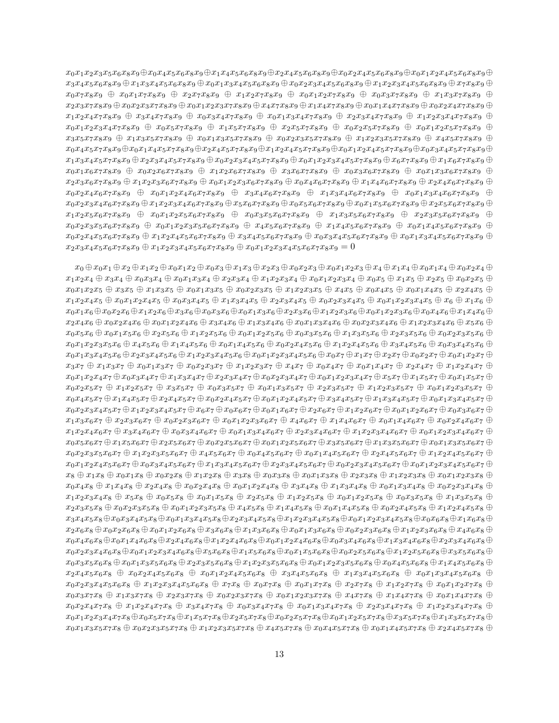$x_0x_1x_2x_3x_5x_6x_8x_9 \oplus x_0x_4x_5x_6x_8x_9 \oplus x_1x_4x_5x_6x_8x_9 \oplus x_2x_4x_5x_6x_8x_9 \oplus x_0x_2x_4x_5x_6x_8x_9 \oplus x_0x_1x_2x_4x_5x_6x_8x_9 \oplus x_0x_2x_4x_5x_6x_8x_9$  $x_3x_4x_5x_6x_8x_9 \oplus x_1x_3x_4x_5x_6x_8x_9 \oplus x_0x_1x_3x_4x_5x_6x_8x_9 \oplus x_0x_2x_3x_4x_5x_6x_8x_9 \oplus x_1x_2x_3x_4x_5x_6x_8x_9 \oplus x_7x_8x_9 \oplus x_7x_8x_9$  $x_0x_7x_8x_9 \oplus x_0x_1x_7x_8x_9 \oplus x_2x_7x_8x_9 \oplus x_1x_2x_7x_8x_9 \oplus x_0x_1x_2x_7x_8x_9 \oplus x_0x_3x_7x_8x_9 \oplus x_1x_3x_7x_8x_9 \oplus x_1x_2x_7x_8x_9$  $x_2x_3x_7x_8x_9 \oplus x_0x_2x_3x_7x_8x_9 \oplus x_0x_1x_2x_3x_7x_8x_9 \oplus x_4x_7x_8x_9 \oplus x_1x_4x_7x_8x_9 \oplus x_0x_1x_4x_7x_8x_9 \oplus x_0x_2x_4x_7x_8x_9 \oplus x_0x_2x_4x_7x_8x_9$  $x_1x_2x_4x_7x_8x_9 + x_3x_4x_7x_8x_9 + x_0x_3x_4x_7x_8x_9 + x_0x_1x_3x_4x_7x_8x_9 + x_2x_3x_4x_7x_8x_9 + x_1x_2x_3x_4x_7x_8x_9 + x_1x_2x_3x_4x_7x_8x_9$  $x_0x_1x_2x_3x_4x_7x_8x_9 \oplus x_0x_5x_7x_8x_9 \oplus x_1x_5x_7x_8x_9 \oplus x_2x_5x_7x_8x_9 \oplus x_0x_2x_5x_7x_8x_9 \oplus x_0x_1x_2x_5x_7x_8x_9 \oplus x_0x_1x_2x_5x_7x_8x_9$  $x_3x_5x_7x_8x_9 + x_1x_3x_5x_7x_8x_9 + x_0x_1x_3x_5x_7x_8x_9 + x_0x_2x_3x_5x_7x_8x_9 + x_1x_2x_3x_5x_7x_8x_9 + x_4x_5x_7x_8x_9 + x_5x_5x_7x_8x_9$  $x_0x_4x_5x_7x_8x_9 \oplus x_0x_1x_4x_5x_7x_8x_9 \oplus x_2x_4x_5x_7x_8x_9 \oplus x_1x_2x_4x_5x_7x_8x_9 \oplus x_0x_1x_2x_4x_5x_7x_8x_9 \oplus x_0x_3x_4x_5x_7x_8x_9 \oplus x_0x_3x_4x_5x_7x_8x_9$  $x_1x_3x_4x_5x_7x_8x_9 \oplus x_2x_3x_4x_5x_7x_8x_9 \oplus x_0x_2x_3x_4x_5x_7x_8x_9 \oplus x_0x_1x_2x_3x_4x_5x_7x_8x_9 \oplus x_6x_7x_8x_9 \oplus x_1x_6x_7x_8x_9 \oplus x_1x_6x_7x_8x_9$  $x_0x_1x_6x_7x_8x_9 + x_0x_2x_6x_7x_8x_9 + x_1x_2x_6x_7x_8x_9 + x_3x_6x_7x_8x_9 + x_0x_3x_6x_7x_8x_9 + x_0x_1x_3x_6x_7x_8x_9 + x_0x_2x_6x_7x_8x_9$  $x_2x_3x_6x_7x_8x_9 \oplus x_1x_2x_3x_6x_7x_8x_9 \oplus x_0x_1x_2x_3x_6x_7x_8x_9 \oplus x_0x_4x_6x_7x_8x_9 \oplus x_1x_4x_6x_7x_8x_9 \oplus x_2x_4x_6x_7x_8x_9 \oplus x_3x_6x_7x_8x_9$  $x_0x_2x_4x_6x_7x_8x_9$   $\oplus$   $x_0x_1x_2x_4x_6x_7x_8x_9$   $\oplus$   $x_3x_4x_6x_7x_8x_9$   $\oplus$   $x_1x_3x_4x_6x_7x_8x_9$   $\oplus$   $x_0x_1x_3x_4x_6x_7x_8x_9$   $\oplus$  $x_0x_2x_3x_4x_6x_7x_8x_9 \oplus x_1x_2x_3x_4x_6x_7x_8x_9 \oplus x_5x_6x_7x_8x_9 \oplus x_0x_5x_6x_7x_8x_9 \oplus x_0x_1x_5x_6x_7x_8x_9 \oplus x_2x_5x_6x_7x_8x_9 \oplus x_3x_4x_6x_7x_8x_9$  $x_1x_2x_5x_6x_7x_8x_9$   $\oplus$   $x_0x_1x_2x_5x_6x_7x_8x_9$   $\oplus$   $x_0x_3x_5x_6x_7x_8x_9$   $\oplus$   $x_1x_3x_5x_6x_7x_8x_9$   $\oplus$   $x_2x_3x_5x_6x_7x_8x_9$   $\oplus$  $x_0x_2x_3x_5x_6x_7x_8x_9 + x_0x_1x_2x_3x_5x_6x_7x_8x_9 + x_4x_5x_6x_7x_8x_9 + x_1x_4x_5x_6x_7x_8x_9 + x_0x_1x_4x_5x_6x_7x_8x_9 + x_0x_1x_4x_5x_8x_9 + x_0x_1x_4x_5x_6x_7x_8x_9$  $x_0x_2x_4x_5x_6x_7x_8x_9 + x_1x_2x_4x_5x_6x_7x_8x_9 + x_3x_4x_5x_6x_7x_8x_9 + x_0x_3x_4x_5x_6x_7x_8x_9 + x_0x_1x_3x_4x_5x_6x_7x_8x_9 + x_1x_2x_4x_5x_6x_7x_8x_9 + x_1x_2x_4x_5x_6x_7x_8x_9 + x_1x_2x_4x_5x_6x_7x_8x_9 + x_1x_2x_4x_5x_6x_7x_$  $x_2x_3x_4x_5x_6x_7x_8x_9 \oplus x_1x_2x_3x_4x_5x_6x_7x_8x_9 \oplus x_0x_1x_2x_3x_4x_5x_6x_7x_8x_9 = 0$ 

 $x_0 \oplus x_0 x_1 \oplus x_2 \oplus x_1 x_2 \oplus x_0 x_1 x_2 \oplus x_0 x_3 \oplus x_1 x_3 \oplus x_2 x_3 \oplus x_0 x_2 x_3 \oplus x_0 x_1 x_2 x_3 \oplus x_4 \oplus x_1 x_4 \oplus x_0 x_1 x_4 \oplus x_0 x_2 x_4 \oplus x_1 x_2 x_3$  $x_1x_2x_4 \oplus x_3x_4 \oplus x_0x_3x_4 \oplus x_0x_1x_3x_4 \oplus x_2x_3x_4 \oplus x_1x_2x_3x_4 \oplus x_0x_1x_2x_3x_4 \oplus x_0x_5 \oplus x_1x_5 \oplus x_2x_5 \oplus x_0x_2x_5 \oplus x_1x_2x_5$  $x_0x_1x_2x_5 \oplus x_3x_5 \oplus x_1x_3x_5 \oplus x_0x_1x_3x_5 \oplus x_0x_2x_3x_5 \oplus x_1x_2x_3x_5 \oplus x_4x_5 \oplus x_0x_4x_5 \oplus x_0x_1x_4x_5 \oplus x_2x_4x_5 \oplus x_3x_4$  $x_1x_2x_4x_5 \oplus x_0x_1x_2x_4x_5 \oplus x_0x_3x_4x_5 \oplus x_1x_3x_4x_5 \oplus x_2x_3x_4x_5 \oplus x_0x_2x_3x_4x_5 \oplus x_0x_1x_2x_3x_4x_5 \oplus x_6 \oplus x_1x_6 \oplus x_2x_4x_5$  $x_0x_1x_6 \oplus x_0x_2x_6 \oplus x_1x_2x_6 \oplus x_3x_6 \oplus x_0x_3x_6 \oplus x_0x_1x_3x_6 \oplus x_2x_3x_6 \oplus x_1x_2x_3x_6 \oplus x_0x_1x_2x_3x_6 \oplus x_0x_4x_6 \oplus x_1x_4x_6 \oplus x_1x_4x_6 \oplus x_2x_3x_6$  $x_2x_4x_6 \oplus x_0x_2x_4x_6 \oplus x_0x_1x_2x_4x_6 \oplus x_3x_4x_6 \oplus x_1x_3x_4x_6 \oplus x_0x_1x_3x_4x_6 \oplus x_0x_2x_3x_4x_6 \oplus x_1x_2x_3x_4x_6 \oplus x_5x_6 \oplus x_6$  $x_0x_5x_6 \oplus x_0x_1x_5x_6 \oplus x_2x_5x_6 \oplus x_1x_2x_5x_6 \oplus x_0x_1x_2x_5x_6 \oplus x_0x_3x_5x_6 \oplus x_1x_3x_5x_6 \oplus x_2x_3x_5x_6 \oplus x_0x_2x_3x_5x_6 \oplus x_1x_2x_5$  $x_0x_1x_2x_3x_5x_6 \oplus x_4x_5x_6 \oplus x_1x_4x_5x_6 \oplus x_0x_1x_4x_5x_6 \oplus x_0x_2x_4x_5x_6 \oplus x_1x_2x_4x_5x_6 \oplus x_3x_4x_5x_6 \oplus x_0x_3x_4x_5x_6 \oplus x_1x_2x_3x_4$  $x_0x_1x_3x_4x_5x_6 \oplus x_2x_3x_4x_5x_6 \oplus x_1x_2x_3x_4x_5x_6 \oplus x_0x_1x_2x_3x_4x_5x_6 \oplus x_0x_7 \oplus x_1x_7 \oplus x_2x_7 \oplus x_0x_2x_7 \oplus x_0x_1x_2x_7 \oplus x_1x_2x_7$  $x_3x_7 \oplus x_1x_3x_7 \oplus x_0x_1x_3x_7 \oplus x_0x_2x_3x_7 \oplus x_1x_2x_3x_7 \oplus x_4x_7 \oplus x_0x_4x_7 \oplus x_0x_1x_4x_7 \oplus x_2x_4x_7 \oplus x_1x_2x_4x_7 \oplus x_1x_2x_4x_7$  $x_0x_1x_2x_4x_7 \oplus x_0x_3x_4x_7 \oplus x_1x_3x_4x_7 \oplus x_2x_3x_4x_7 \oplus x_0x_2x_3x_4x_7 \oplus x_0x_1x_2x_3x_4x_7 \oplus x_5x_7 \oplus x_1x_5x_7 \oplus x_0x_1x_5x_7 \oplus x_1x_5x_7$  $x_0x_2x_5x_7 + x_1x_2x_5x_7 + x_3x_5x_7 + x_0x_3x_5x_7 + x_0x_1x_3x_5x_7 + x_1x_2x_3x_5x_7 + x_1x_2x_3x_5x_7 + x_0x_1x_2x_3x_5x_7 + x_1x_2x_3x_5x_7 + x_1x_2x_3x_5x_7 + x_1x_2x_3x_5x_7 + x_1x_2x_3x_5x_7 + x_1x_2x_3x_5x_7 + x_1x_2x_3x_5x_7 + x_1x_2x_$  $x_0x_4x_5x_7 \oplus x_1x_4x_5x_7 \oplus x_2x_4x_5x_7 \oplus x_0x_2x_4x_5x_7 \oplus x_0x_1x_2x_4x_5x_7 \oplus x_3x_4x_5x_7 \oplus x_1x_3x_4x_5x_7 \oplus x_0x_1x_3x_4x_5x_7 \oplus x_1x_2x_4x_5$  $x_0x_2x_3x_4x_5x_7 \oplus x_1x_2x_3x_4x_5x_7 \oplus x_6x_7 \oplus x_0x_6x_7 \oplus x_0x_1x_6x_7 \oplus x_2x_6x_7 \oplus x_1x_2x_6x_7 \oplus x_0x_1x_2x_6x_7 \oplus x_0x_3x_6x_7 \oplus x_1x_2x_6$  $x_1x_3x_6x_7 \oplus x_2x_3x_6x_7 \oplus x_0x_2x_3x_6x_7 \oplus x_0x_1x_2x_3x_6x_7 \oplus x_4x_6x_7 \oplus x_1x_4x_6x_7 \oplus x_0x_1x_4x_6x_7 \oplus x_0x_2x_4x_6x_7 \oplus x_1x_4x_6$  $x_1x_2x_4x_6x_7 \oplus x_3x_4x_6x_7 \oplus x_0x_3x_4x_6x_7 \oplus x_0x_1x_3x_4x_6x_7 \oplus x_2x_3x_4x_6x_7 \oplus x_1x_2x_3x_4x_6x_7 \oplus x_0x_1x_2x_3x_4x_6x_7 \oplus x_1x_2x_3x_4x_6$  $x_0x_5x_6x_7 \oplus x_1x_5x_6x_7 \oplus x_2x_5x_6x_7 \oplus x_0x_2x_5x_6x_7 \oplus x_0x_1x_2x_5x_6x_7 \oplus x_3x_5x_6x_7 \oplus x_1x_3x_5x_6x_7 \oplus x_0x_1x_3x_5x_6x_7 \oplus x_1x_3x_5$  $x_0x_2x_3x_5x_6x_7 + x_1x_2x_3x_5x_6x_7 + x_4x_5x_6x_7 + x_0x_4x_5x_6x_7 + x_0x_1x_4x_5x_6x_7 + x_2x_4x_5x_6x_7 + x_1x_2x_4x_5x_6x_7 + x_1x_2x_4x_5x_6x_7$  $x_0x_1x_2x_4x_5x_6x_7 + x_0x_3x_4x_5x_6x_7 + x_1x_3x_4x_5x_6x_7 + x_2x_3x_4x_5x_6x_7 + x_0x_2x_3x_4x_5x_6x_7 + x_0x_1x_2x_3x_4x_5x_6x_7 + x_1x_2x_3x_4x_5x_6x_7$  $x_8 \oplus x_1x_8 \oplus x_0x_1x_8 \oplus x_0x_2x_8 \oplus x_1x_2x_8 \oplus x_3x_8 \oplus x_0x_3x_8 \oplus x_0x_1x_3x_8 \oplus x_2x_3x_8 \oplus x_1x_2x_3x_8 \oplus x_0x_1x_2x_3x_8 \oplus x_1x_2x_3x_8 \oplus x_1x_2x_3x_8 \oplus x_1x_2x_3x_8 \oplus x_1x_2x_3x_8 \oplus x_1x_2x_3x_8 \oplus x_1x_2x_3x_8 \$  $x_0x_4x_8 \oplus x_1x_4x_8 \oplus x_2x_4x_8 \oplus x_0x_2x_4x_8 \oplus x_0x_1x_2x_4x_8 \oplus x_3x_4x_8 \oplus x_1x_3x_4x_8 \oplus x_0x_1x_3x_4x_8 \oplus x_0x_2x_3x_4x_8 \oplus x_0x_2x_3x_4$  $x_1x_2x_3x_4x_8 + x_5x_8 + x_0x_5x_8 + x_0x_1x_5x_8 + x_2x_5x_8 + x_1x_2x_5x_8 + x_0x_1x_2x_5x_8 + x_0x_3x_5x_8 + x_1x_3x_5x_8 + x_1x_2x_5x_8 + x_1x_2x_5x_8 + x_1x_3x_5x_8 + x_1x_3x_5x_8 + x_1x_3x_5x_8 + x_1x_3x_5x_8 + x_1x_3x_5x_8 + x_1x_3x_5x_8 + x_1x_$  $x_2x_3x_5x_8 \oplus x_0x_2x_3x_5x_8 \oplus x_0x_1x_2x_3x_5x_8 \oplus x_4x_5x_8 \oplus x_1x_4x_5x_8 \oplus x_0x_1x_4x_5x_8 \oplus x_0x_2x_4x_5x_8 \oplus x_1x_2x_4x_5x_8 \oplus x_1x_2x_4x_5$  $x_3x_4x_5x_8 \oplus x_0x_3x_4x_5x_8 \oplus x_0x_1x_3x_4x_5x_8 \oplus x_2x_3x_4x_5x_8 \oplus x_1x_2x_3x_4x_5x_8 \oplus x_0x_1x_2x_3x_4x_5x_8 \oplus x_0x_6x_8 \oplus x_1x_6x_8 \oplus x_1x_6x_8 \oplus x_2x_3x_4x_5$  $x_2x_6x_8 \oplus x_0x_2x_6x_8 \oplus x_0x_1x_2x_6x_8 \oplus x_3x_6x_8 \oplus x_1x_3x_6x_8 \oplus x_0x_1x_3x_6x_8 \oplus x_0x_2x_3x_6x_8 \oplus x_1x_2x_3x_6x_8 \oplus x_4x_6x_8 \oplus x_5x_6$  $x_0x_4x_6x_8 \oplus x_0x_1x_4x_6x_8 \oplus x_2x_4x_6x_8 \oplus x_1x_2x_4x_6x_8 \oplus x_0x_1x_2x_4x_6x_8 \oplus x_0x_3x_4x_6x_8 \oplus x_1x_3x_4x_6x_8 \oplus x_2x_3x_4x_6x_8 \oplus x_3x_4x_6$  $x_0x_2x_3x_4x_6x_8 \oplus x_0x_1x_2x_3x_4x_6x_8 \oplus x_5x_6x_8 \oplus x_1x_5x_6x_8 \oplus x_0x_1x_5x_6x_8 \oplus x_0x_2x_5x_6x_8 \oplus x_1x_2x_5x_6x_8 \oplus x_3x_5x_6x_8 \oplus x_1x_2x_5x_6$  $x_0x_3x_5x_6x_8 \oplus x_0x_1x_3x_5x_6x_8 \oplus x_2x_3x_5x_6x_8 \oplus x_1x_2x_3x_5x_6x_8 \oplus x_0x_1x_2x_3x_5x_6x_8 \oplus x_0x_4x_5x_6x_8 \oplus x_1x_4x_5x_6x_8 \oplus x_1x_4x_5x_6x_8 \oplus x_1x_4x_5x_6x_8 \oplus x_1x_4x_5x_6x_8 \oplus x_1x_4x_5x_6x_8 \oplus x_1x_4x_5x$  $x_2x_4x_5x_6x_8 + x_0x_2x_4x_5x_6x_8 + x_0x_1x_2x_4x_5x_6x_8 + x_3x_4x_5x_6x_8 + x_1x_3x_4x_5x_6x_8 + x_0x_1x_3x_4x_5x_6x_8 + x_1x_2x_4x_5x_6x_8$  $x_0x_2x_3x_4x_5x_6x_8 + x_1x_2x_3x_4x_5x_6x_8 + x_7x_8 + x_0x_1x_7x_8 + x_0x_1x_7x_8 + x_1x_2x_7x_8 + x_0x_1x_2x_7x_8 + x_0x_1x_2x_7x_8 + x_1x_2x_3x_4$  $x_0x_3x_7x_8 \oplus x_1x_3x_7x_8 \oplus x_2x_3x_7x_8 \oplus x_0x_2x_3x_7x_8 \oplus x_0x_1x_2x_3x_7x_8 \oplus x_4x_7x_8 \oplus x_1x_4x_7x_8 \oplus x_0x_1x_4x_7x_8 \oplus x_1x_4x_7x_8$  $x_0x_2x_4x_7x_8 + x_1x_2x_4x_7x_8 + x_3x_4x_7x_8 + x_0x_3x_4x_7x_8 + x_0x_1x_3x_4x_7x_8 + x_2x_3x_4x_7x_8 + x_1x_2x_3x_4x_7x_8 + x_1x_2x_3x_4x_7x_8 + x_1x_2x_3x_4x_7x_8 + x_1x_2x_3x_4x_7x_8 + x_1x_2x_3x_4x_7x_8 + x_1x_2x_3x_4x_7x_8 + x_1x_2x_3x$  $x_0x_1x_2x_3x_4x_7x_8 \oplus x_0x_5x_7x_8 \oplus x_1x_5x_7x_8 \oplus x_2x_5x_7x_8 \oplus x_0x_2x_5x_7x_8 \oplus x_0x_1x_2x_5x_7x_8 \oplus x_3x_5x_7x_8 \oplus x_1x_3x_5x_7x_8 \oplus x_1x_3x_5x_7x_8 \oplus x_1x_3x_5x_7x_8 \oplus x_1x_3x_5x_7x_8 \oplus x_1x_3x_5x_7x_8 \oplus x_1x_3x$  $x_0x_1x_3x_5x_7x_8 \oplus x_0x_2x_3x_5x_7x_8 \oplus x_1x_2x_3x_5x_7x_8 \oplus x_4x_5x_7x_8 \oplus x_0x_4x_5x_7x_8 \oplus x_0x_1x_4x_5x_7x_8 \oplus x_2x_4x_5x_7x_8 \oplus x_1x_4x_5x_7$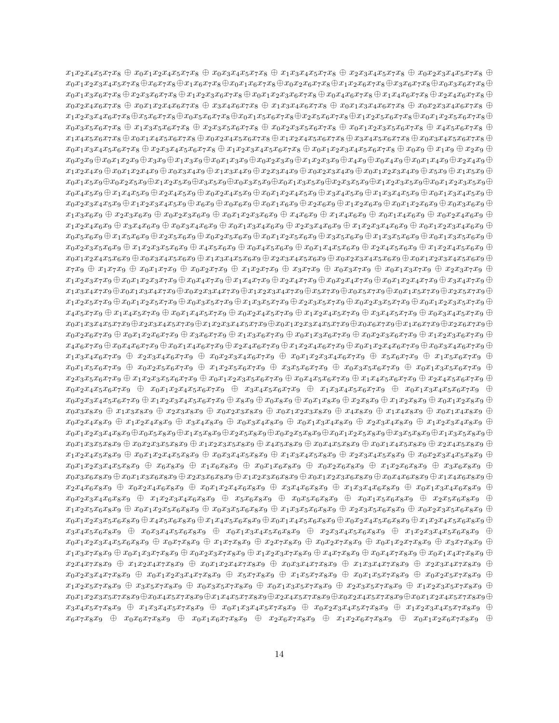$x_1x_2x_4x_5x_7x_8 \oplus x_0x_1x_2x_4x_5x_7x_8 \oplus x_0x_3x_4x_5x_7x_8 \oplus x_1x_3x_4x_5x_7x_8 \oplus x_2x_3x_4x_5x_7x_8 \oplus x_0x_2x_3x_4x_5x_7x_8 \oplus x_0x_2x_3x_4x_5x_7x_8 \oplus x_0x_2x_3x_4x_5x_7$  $x_0x_1x_2x_3x_4x_5x_7x_8 \oplus x_6x_7x_8 \oplus x_1x_6x_7x_8 \oplus x_0x_1x_6x_7x_8 \oplus x_0x_2x_6x_7x_8 \oplus x_1x_2x_6x_7x_8 \oplus x_3x_6x_7x_8 \oplus x_0x_3x_6x_7x_8 \oplus x_0x_2x_6x_7$  $x_0x_1x_3x_6x_7x_8 \oplus x_2x_3x_6x_7x_8 \oplus x_1x_2x_3x_6x_7x_8 \oplus x_0x_1x_2x_3x_6x_7x_8 \oplus x_0x_4x_6x_7x_8 \oplus x_1x_4x_6x_7x_8 \oplus x_2x_4x_6x_7x_8 \oplus x_3x_4x_6x_7$  $x_0x_2x_4x_6x_7x_8 + x_0x_1x_2x_4x_6x_7x_8 + x_3x_4x_6x_7x_8 + x_1x_3x_4x_6x_7x_8 + x_0x_1x_3x_4x_6x_7x_8 + x_0x_2x_3x_4x_6x_7x_8 + x_0x_3x_4x_6x_7$  $x_1x_2x_3x_4x_6x_7x_8 \oplus x_5x_6x_7x_8 \oplus x_0x_5x_6x_7x_8 \oplus x_0x_1x_5x_6x_7x_8 \oplus x_2x_5x_6x_7x_8 \oplus x_1x_2x_5x_6x_7x_8 \oplus x_0x_1x_2x_5x_6x_7x_8 \oplus x_0x_1x_2x_5x_6x_7x_8 \oplus x_0x_1x_2x_5x_6x_7x_8 \oplus x_0x_1x_2x_5x_6x_7x_8 \oplus x_0x_1x$  $x_0x_3x_5x_6x_7x_8 \oplus x_1x_3x_5x_6x_7x_8 \oplus x_2x_3x_5x_6x_7x_8 \oplus x_0x_2x_3x_5x_6x_7x_8 \oplus x_0x_1x_2x_3x_5x_6x_7x_8 \oplus x_4x_5x_6x_7x_8 \oplus x_5x_6x_7x_8$  $x_1x_4x_5x_6x_7x_8 \oplus x_0x_1x_4x_5x_6x_7x_8 \oplus x_0x_2x_4x_5x_6x_7x_8 \oplus x_1x_2x_4x_5x_6x_7x_8 \oplus x_3x_4x_5x_6x_7x_8 \oplus x_0x_3x_4x_5x_6x_7x_8 \oplus x_1x_2x_4x_5$  $x_0x_1x_3x_4x_5x_6x_7x_8 \oplus x_2x_3x_4x_5x_6x_7x_8 \oplus x_1x_2x_3x_4x_5x_6x_7x_8 \oplus x_0x_1x_2x_3x_4x_5x_6x_7x_8 \oplus x_0x_9 \oplus x_1x_9 \oplus x_2x_9 \oplus x_4x_5$  $x_0x_2x_9 \oplus x_0x_1x_2x_9 \oplus x_3x_9 \oplus x_1x_3x_9 \oplus x_0x_1x_3x_9 \oplus x_0x_2x_3x_9 \oplus x_1x_2x_3x_9 \oplus x_4x_9 \oplus x_0x_4x_9 \oplus x_0x_1x_4x_9 \oplus x_2x_4x_9 \oplus x_1x_2x_3$  $x_1x_2x_4x_9 \oplus x_0x_1x_2x_4x_9 \oplus x_0x_3x_4x_9 \oplus x_1x_3x_4x_9 \oplus x_2x_3x_4x_9 \oplus x_0x_2x_3x_4x_9 \oplus x_0x_1x_2x_3x_4x_9 \oplus x_5x_9 \oplus x_1x_5x_9 \oplus x_2x_4x_9$  $x_0x_1x_5x_9 \oplus x_0x_2x_5x_9 \oplus x_1x_2x_5x_9 \oplus x_3x_5x_9 \oplus x_0x_3x_5x_9 \oplus x_0x_1x_3x_5x_9 \oplus x_2x_3x_5x_9 \oplus x_1x_2x_3x_5x_9 \oplus x_0x_1x_2x_3x_5x_9 \oplus x_0x_1x_2x_3x_5$  $x_0x_4x_5x_9 \oplus x_1x_4x_5x_9 \oplus x_2x_4x_5x_9 \oplus x_0x_2x_4x_5x_9 \oplus x_0x_1x_2x_4x_5x_9 \oplus x_1x_3x_4x_5x_9 \oplus x_0x_1x_3x_4x_5x_9 \oplus x_0x_1x_3x_4x_5x_9$  $x_0x_2x_3x_4x_5x_9 \oplus x_1x_2x_3x_4x_5x_9 \oplus x_6x_9 \oplus x_0x_6x_9 \oplus x_0x_1x_6x_9 \oplus x_2x_6x_9 \oplus x_1x_2x_6x_9 \oplus x_0x_1x_2x_6x_9 \oplus x_0x_3x_6x_9 \oplus x_1x_2x_6$  $x_1x_3x_6x_9 \oplus x_2x_3x_6x_9 \oplus x_0x_2x_3x_6x_9 \oplus x_0x_1x_2x_3x_6x_9 \oplus x_4x_6x_9 \oplus x_1x_4x_6x_9 \oplus x_0x_1x_4x_6x_9 \oplus x_0x_2x_4x_6x_9 \oplus x_0x_2x_4x_6x_9$  $x_1x_2x_4x_6x_9 \oplus x_3x_4x_6x_9 \oplus x_0x_3x_4x_6x_9 \oplus x_0x_1x_3x_4x_6x_9 \oplus x_2x_3x_4x_6x_9 \oplus x_1x_2x_3x_4x_6x_9 \oplus x_0x_1x_2x_3x_4x_6x_9 \oplus x_1x_2x_3x_4x_6x_9$  $x_0x_5x_6x_9 \oplus x_1x_5x_6x_9 \oplus x_2x_5x_6x_9 \oplus x_0x_2x_5x_6x_9 \oplus x_0x_1x_2x_5x_6x_9 \oplus x_3x_5x_6x_9 \oplus x_1x_3x_5x_6x_9 \oplus x_0x_1x_3x_5x_6x_9 \oplus x_1x_2x_5x_6x_9$  $x_0x_2x_3x_5x_6x_9 + x_1x_2x_3x_5x_6x_9 + x_4x_5x_6x_9 + x_0x_4x_5x_6x_9 + x_0x_1x_4x_5x_6x_9 + x_2x_4x_5x_6x_9 + x_1x_2x_4x_5x_6x_9 + x_1x_2x_4x_5x_6x_9 + x_1x_2x_4x_5x_6x_9 + x_1x_2x_4x_5x_6x_9 + x_1x_2x_4x_5x_6x_9 + x_1x_2x_4x_5x_6x_9 + x_1x$  $x_0x_1x_2x_4x_5x_6x_9 \oplus x_0x_3x_4x_5x_6x_9 \oplus x_1x_3x_4x_5x_6x_9 \oplus x_2x_3x_4x_5x_6x_9 \oplus x_0x_2x_3x_4x_5x_6x_9 \oplus x_0x_1x_2x_3x_4x_5x_6x_9 \oplus x_0x_1x_2x_3x_4x_5$  $x_7x_9 \oplus x_1x_7x_9 \oplus x_0x_1x_7x_9 \oplus x_0x_2x_7x_9 \oplus x_1x_2x_7x_9 \oplus x_3x_7x_9 \oplus x_0x_3x_7x_9 \oplus x_0x_1x_3x_7x_9 \oplus x_2x_3x_7x_9 \oplus x_3x_7x_9$  $x_1x_2x_3x_7x_9 \oplus x_0x_1x_2x_3x_7x_9 \oplus x_0x_4x_7x_9 \oplus x_1x_4x_7x_9 \oplus x_2x_4x_7x_9 \oplus x_0x_2x_4x_7x_9 \oplus x_0x_1x_2x_4x_7x_9 \oplus x_3x_4x_7x_9 \oplus x_0x_1x_2x_4x_7x_9$  $x_1x_3x_4x_7x_9 \oplus x_0x_1x_3x_4x_7x_9 \oplus x_0x_2x_3x_4x_7x_9 \oplus x_1x_2x_3x_4x_7x_9 \oplus x_5x_7x_9 \oplus x_0x_5x_7x_9 \oplus x_0x_1x_5x_7x_9 \oplus x_2x_5x_7x_9 \oplus x_2x_5x_7x_9$  $x_1x_2x_5x_7x_9 \oplus x_0x_1x_2x_5x_7x_9 \oplus x_0x_3x_5x_7x_9 \oplus x_1x_3x_5x_7x_9 \oplus x_2x_3x_5x_7x_9 \oplus x_0x_2x_3x_5x_7x_9 \oplus x_0x_1x_2x_3x_5x_7x_9 \oplus x_0x_1x_2x_3x_5x_7x_9$  $x_4x_5x_7x_9 \oplus x_1x_4x_5x_7x_9 \oplus x_0x_1x_4x_5x_7x_9 \oplus x_0x_2x_4x_5x_7x_9 \oplus x_1x_2x_4x_5x_7x_9 \oplus x_3x_4x_5x_7x_9 \oplus x_0x_3x_4x_5x_7x_9 \oplus x_1x_2x_3x_4x_5x_7$  $x_0x_1x_3x_4x_5x_7x_9 \oplus x_2x_3x_4x_5x_7x_9 \oplus x_1x_2x_3x_4x_5x_7x_9 \oplus x_0x_1x_2x_3x_4x_5x_7x_9 \oplus x_0x_6x_7x_9 \oplus x_1x_6x_7x_9 \oplus x_2x_6x_7x_9 \oplus x_2x_6x_7x_9$  $x_0x_2x_6x_7x_9 \oplus x_0x_1x_2x_6x_7x_9 \oplus x_3x_6x_7x_9 \oplus x_1x_3x_6x_7x_9 \oplus x_0x_1x_3x_6x_7x_9 \oplus x_0x_2x_3x_6x_7x_9 \oplus x_1x_2x_3x_6x_7x_9 \oplus x_1x_2x_3x_6x_7$  $x_4x_6x_7x_9 \oplus x_0x_4x_6x_7x_9 \oplus x_0x_1x_4x_6x_7x_9 \oplus x_2x_4x_6x_7x_9 \oplus x_1x_2x_4x_6x_7x_9 \oplus x_0x_1x_2x_4x_6x_7x_9 \oplus x_0x_3x_4x_6x_7x_9 \oplus x_0x_2x_4x_6x_7$  $x_1x_3x_4x_6x_7x_9 \oplus x_2x_3x_4x_6x_7x_9 \oplus x_0x_2x_3x_4x_6x_7x_9 \oplus x_0x_1x_2x_3x_4x_6x_7x_9 \oplus x_5x_6x_7x_9 \oplus x_1x_5x_6x_7x_9 \oplus x_2x_3x_4x_6x_7$  $x_0x_1x_5x_6x_7x_9 + x_0x_2x_5x_6x_7x_9 + x_1x_2x_5x_6x_7x_9 + x_3x_5x_6x_7x_9 + x_0x_3x_5x_6x_7x_9 + x_0x_1x_3x_5x_6x_7x_9 + x_1x_2x_5x_6x_7x_9$  $x_2x_3x_5x_6x_7x_9 \oplus x_1x_2x_3x_5x_6x_7x_9 \oplus x_0x_1x_2x_3x_5x_6x_7x_9 \oplus x_0x_4x_5x_6x_7x_9 \oplus x_1x_4x_5x_6x_7x_9 \oplus x_2x_4x_5x_6x_7x_9 \oplus x_3x_5x_6x_7$  $x_0x_2x_4x_5x_6x_7x_9 \oplus x_0x_1x_2x_4x_5x_6x_7x_9 \oplus x_3x_4x_5x_6x_7x_9 \oplus x_1x_3x_4x_5x_6x_7x_9 \oplus x_0x_1x_3x_4x_5x_6x_7x_9 \oplus x_1x_2x_4x_5x_6x_7x_9$  $x_0x_2x_3x_4x_5x_6x_7x_9 \oplus x_1x_2x_3x_4x_5x_6x_7x_9 \oplus x_8x_9 \oplus x_0x_8x_9 \oplus x_0x_1x_8x_9 \oplus x_2x_8x_9 \oplus x_1x_2x_8x_9 \oplus x_0x_1x_2x_8x_9 \oplus x_0x_1x_2x_8$  $x_0x_3x_8x_9 + x_1x_3x_8x_9 + x_2x_3x_8x_9 + x_0x_2x_3x_8x_9 + x_0x_1x_2x_3x_8x_9 + x_4x_8x_9 + x_1x_4x_8x_9 + x_0x_1x_4x_8x_9 + x_1x_2x_3x_9 + x_1x_2x_3x_9 + x_1x_2x_3x_9 + x_1x_2x_3x_9 + x_1x_2x_3x_9 + x_1x_2x_3x_9 + x_1x_2x_3x_9 + x_1x_2x_3x_9 + x_1$  $x_0x_2x_4x_8x_9 + x_1x_2x_4x_8x_9 + x_3x_4x_8x_9 + x_0x_3x_4x_8x_9 + x_0x_1x_3x_4x_8x_9 + x_2x_3x_4x_8x_9 + x_1x_2x_3x_4x_8x_9 + x_1x_2x_3x_4x_8x_9 + x_1x_2x_3x_4x_8x_9 + x_1x_2x_3x_4x_8x_9 + x_1x_2x_3x_4x_8x_9 + x_1x_2x_3x_4x_8x_9 + x_1x_2x_3x$  $x_0x_1x_2x_3x_4x_8x_9 \oplus x_0x_5x_8x_9 \oplus x_1x_5x_8x_9 \oplus x_2x_5x_8x_9 \oplus x_0x_2x_5x_8x_9 \oplus x_0x_1x_2x_5x_8x_9 \oplus x_3x_5x_8x_9 \oplus x_1x_3x_5x_8x_9 \oplus x_1x_2x_5x_8x_9$  $x_0x_1x_3x_5x_8x_9 + x_0x_2x_3x_5x_8x_9 + x_1x_2x_3x_5x_8x_9 + x_4x_5x_8x_9 + x_0x_4x_5x_8x_9 + x_0x_1x_4x_5x_8x_9 + x_2x_4x_5x_8x_9 + x_0x_2x_3x_5x_8$  $x_1x_2x_4x_5x_8x_9 + x_0x_1x_2x_4x_5x_8x_9 + x_0x_3x_4x_5x_8x_9 + x_1x_3x_4x_5x_8x_9 + x_2x_3x_4x_5x_8x_9 + x_0x_2x_3x_4x_5x_8x_9 + x_0x_3x_4x_5x_8x_9 + x_0x_3x_4x_5x_8x_9 + x_0x_3x_4x_5x_8x_9 + x_0x_3x_4x_5x_8x_9 + x_0x_3x_4x_5x_8x_9 + x_0x_$  $x_0x_1x_2x_3x_4x_5x_8x_9 + x_6x_8x_9 + x_1x_6x_8x_9 + x_0x_1x_6x_8x_9 + x_0x_2x_6x_8x_9 + x_1x_2x_6x_8x_9 + x_3x_6x_8x_9 + x_1x_2x_6x_9$  $x_0x_3x_6x_8x_9 \oplus x_0x_1x_3x_6x_8x_9 \oplus x_2x_3x_6x_8x_9 \oplus x_1x_2x_3x_6x_8x_9 \oplus x_0x_1x_2x_3x_6x_8x_9 \oplus x_0x_4x_6x_8x_9 \oplus x_1x_4x_6x_8x_9 \oplus x_1x_4x_6x_8x_9$  $x_2x_4x_6x_8x_9 + x_0x_2x_4x_6x_8x_9 + x_0x_1x_2x_4x_6x_8x_9 + x_3x_4x_6x_8x_9 + x_1x_3x_4x_6x_8x_9 + x_0x_1x_3x_4x_6x_8x_9 + x_0x_1x_2x_4x_6x_8x_9$  $x_0x_2x_3x_4x_6x_8x_9 \oplus x_1x_2x_3x_4x_6x_8x_9 \oplus x_5x_6x_8x_9 \oplus x_0x_5x_6x_8x_9 \oplus x_0x_1x_5x_6x_8x_9 \oplus x_2x_5x_6x_8x_9 \oplus x_3x_4x_6x_8x_9$  $x_1x_2x_5x_6x_8x_9 + x_0x_1x_2x_5x_6x_8x_9 + x_0x_3x_5x_6x_8x_9 + x_1x_3x_5x_6x_8x_9 + x_2x_3x_5x_6x_8x_9 + x_0x_2x_3x_5x_6x_8x_9 + x_0x_3x_5x_6x_8x_9$  $x_0x_1x_2x_3x_5x_6x_8x_9 \oplus x_4x_5x_6x_8x_9 \oplus x_1x_4x_5x_6x_8x_9 \oplus x_0x_1x_4x_5x_6x_8x_9 \oplus x_0x_2x_4x_5x_6x_8x_9 \oplus x_1x_2x_4x_5x_6x_8x_9 \oplus x_1x_2x_4x_5x_6x_8x_9$  $x_3x_4x_5x_6x_8x_9 + x_0x_3x_4x_5x_6x_8x_9 + x_0x_1x_3x_4x_5x_6x_8x_9 + x_2x_3x_4x_5x_6x_8x_9 + x_1x_2x_3x_4x_5x_6x_8x_9 +$  $x_0x_1x_2x_3x_4x_5x_6x_8x_9 + x_0x_7x_8x_9 + x_1x_7x_8x_9 + x_2x_7x_8x_9 + x_0x_2x_7x_8x_9 + x_0x_1x_2x_7x_8x_9 + x_3x_7x_8x_9 + x_1x_2x_3x_9 + x_1x_2x_3x_9 + x_1x_2x_3x_9 + x_1x_2x_3x_9 + x_1x_2x_3x_9 + x_1x_2x_3x_9 + x_1x_2x_3x_9 + x_1x_2x_3x_9 + x$  $x_1x_3x_7x_8x_9 \oplus x_0x_1x_3x_7x_8x_9 \oplus x_0x_2x_3x_7x_8x_9 \oplus x_1x_2x_3x_7x_8x_9 \oplus x_4x_7x_8x_9 \oplus x_0x_4x_7x_8x_9 \oplus x_0x_1x_4x_7x_8x_9 \oplus x_1x_2x_3x_7$  $x_2x_4x_7x_8x_9 + x_1x_2x_4x_7x_8x_9 + x_0x_1x_2x_4x_7x_8x_9 + x_0x_3x_4x_7x_8x_9 + x_1x_3x_4x_7x_8x_9 + x_2x_3x_4x_7x_8x_9 + x_3x_4x_7x_8x_9 + x_1x_3x_4x_7x_8x_9 + x_1x_3x_4x_7x_8x_9 + x_1x_3x_4x_7x_8x_9 + x_1x_3x_4x_7x_8x_9 + x_1x_3x_4x_7x_$  $x_0x_2x_3x_4x_7x_8x_9 \oplus x_0x_1x_2x_3x_4x_7x_8x_9 \oplus x_5x_7x_8x_9 \oplus x_1x_5x_7x_8x_9 \oplus x_0x_1x_5x_7x_8x_9 \oplus x_0x_2x_5x_7x_8x_9 \oplus$  $x_1x_2x_5x_7x_8x_9 + x_3x_5x_7x_8x_9 + x_0x_3x_5x_7x_8x_9 + x_0x_1x_3x_5x_7x_8x_9 + x_2x_3x_5x_7x_8x_9 + x_1x_2x_3x_5x_7x_8x_9 + x_1x_2x_3x_5x_7x_8x_9$  $x_0x_1x_2x_3x_5x_7x_8x_9 \oplus x_0x_4x_5x_7x_8x_9 \oplus x_1x_4x_5x_7x_8x_9 \oplus x_2x_4x_5x_7x_8x_9 \oplus x_0x_2x_4x_5x_7x_8x_9 \oplus x_0x_1x_2x_4x_5x_7x_8x_9 \oplus x_0x_2x_4x_5x_7x_8x_9$  $x_3x_4x_5x_7x_8x_9 + x_1x_3x_4x_5x_7x_8x_9 + x_0x_1x_3x_4x_5x_7x_8x_9 + x_0x_2x_3x_4x_5x_7x_8x_9 + x_1x_2x_3x_4x_5x_7x_8x_9 + x_1x_2x_3x_4x_5x_7x_8x_9$  $x_6x_7x_8x_9 \oplus x_0x_6x_7x_8x_9 \oplus x_0x_1x_6x_7x_8x_9 \oplus x_2x_6x_7x_8x_9 \oplus x_1x_2x_6x_7x_8x_9 \oplus x_0x_1x_2x_6x_7x_8x_9 \oplus x_0x_1x_2x_6$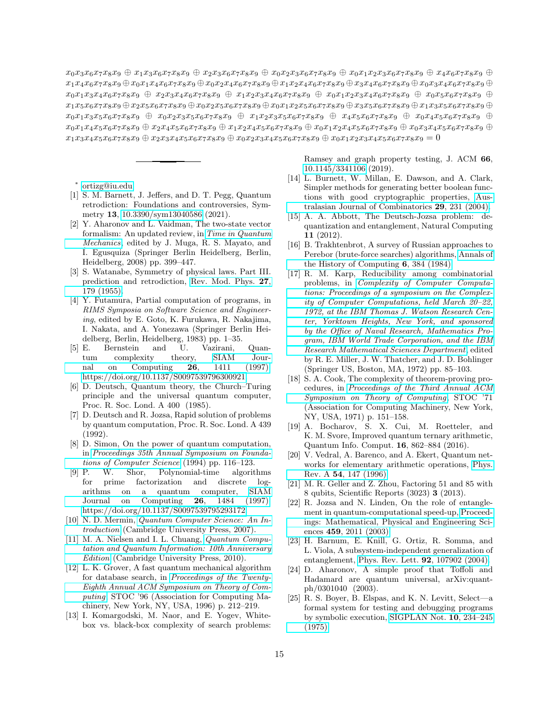$x_0x_3x_6x_7x_8x_9 \oplus x_1x_3x_6x_7x_8x_9 \oplus x_2x_3x_6x_7x_8x_9 \oplus x_0x_2x_3x_6x_7x_8x_9 \oplus x_0x_1x_2x_3x_6x_7x_8x_9 \oplus x_4x_6x_7x_8x_9 \oplus x_5x_6x_7x_8x_9$  $x_1x_4x_6x_7x_8x_9 \oplus x_0x_1x_4x_6x_7x_8x_9 \oplus x_0x_2x_4x_6x_7x_8x_9 \oplus x_1x_2x_4x_6x_7x_8x_9 \oplus x_3x_4x_6x_7x_8x_9 \oplus x_0x_3x_4x_6x_7x_8x_9 \oplus x_0x_3x_4x_6x_7x_8x_9$  $x_0x_1x_3x_4x_6x_7x_8x_9 + x_2x_3x_4x_6x_7x_8x_9 + x_1x_2x_3x_4x_6x_7x_8x_9 + x_0x_1x_2x_3x_4x_6x_7x_8x_9 + x_0x_5x_6x_7x_8x_9 + x_0x_1x_2x_3x_4x_6x_7x_8x_9$  $x_1x_5x_6x_7x_8x_9 \oplus x_2x_5x_6x_7x_8x_9 \oplus x_0x_2x_5x_6x_7x_8x_9 \oplus x_0x_1x_2x_5x_6x_7x_8x_9 \oplus x_3x_5x_6x_7x_8x_9 \oplus x_1x_3x_5x_6x_7x_8x_9 \oplus x_1x_3x_5x_6x_7x_8x_9$  $x_0x_1x_3x_5x_6x_7x_8x_9 + x_0x_2x_3x_5x_6x_7x_8x_9 + x_1x_2x_3x_5x_6x_7x_8x_9 + x_4x_5x_6x_7x_8x_9 + x_0x_4x_5x_6x_7x_8x_9$  $x_0x_1x_4x_5x_6x_7x_8x_9 \oplus x_2x_4x_5x_6x_7x_8x_9 \oplus x_1x_2x_4x_5x_6x_7x_8x_9 \oplus x_0x_1x_2x_4x_5x_6x_7x_8x_9 \oplus x_0x_3x_4x_5x_6x_7x_8x_9 \oplus x_0x_1x_2x_4x_5$  $x_1x_3x_4x_5x_6x_7x_8x_9 + x_2x_3x_4x_5x_6x_7x_8x_9 + x_0x_2x_3x_4x_5x_6x_7x_8x_9 + x_0x_1x_2x_3x_4x_5x_6x_7x_8x_9 = 0$ 

<span id="page-14-0"></span>∗ [ortizg@iu.edu](mailto:ortizg@iu.edu)

- <span id="page-14-1"></span>[1] S. M. Barnett, J. Jeffers, and D. T. Pegg, Quantum retrodiction: Foundations and controversies, Symmetry 13, [10.3390/sym13040586](https://doi.org/10.3390/sym13040586) (2021).
- <span id="page-14-2"></span>[2] Y. Aharonov and L. Vaidman, The two-state vector formalism: An updated review, in [Time in Quantum](https://doi.org/10.1007/978-3-540-73473-4_13) [Mechanics](https://doi.org/10.1007/978-3-540-73473-4_13), edited by J. Muga, R. S. Mayato, and ´I. Egusquiza (Springer Berlin Heidelberg, Berlin, Heidelberg, 2008) pp. 399–447.
- <span id="page-14-3"></span>[3] S. Watanabe, Symmetry of physical laws. Part III. prediction and retrodiction, [Rev. Mod. Phys.](https://doi.org/10.1103/RevModPhys.27.179) 27, [179 \(1955\).](https://doi.org/10.1103/RevModPhys.27.179)
- <span id="page-14-4"></span>[4] Y. Futamura, Partial computation of programs, in RIMS Symposia on Software Science and Engineering, edited by E. Goto, K. Furukawa, R. Nakajima, I. Nakata, and A. Yonezawa (Springer Berlin Heidelberg, Berlin, Heidelberg, 1983) pp. 1–35.<br>[5] E. Bernstein and U. Vazirani,
- <span id="page-14-5"></span>Bernstein and U. Vazirani, Quantum complexity theory, SIAM Journal on Computing 26, 1411 (1997), [nal on Computing](https://doi.org/10.1137/S0097539796300921)  $26$ , 1411 [https://doi.org/10.1137/S0097539796300921.](https://arxiv.org/abs/https://doi.org/10.1137/S0097539796300921)
- [6] D. Deutsch, Quantum theory, the Church–Turing principle and the universal quantum computer, Proc. R. Soc. Lond. A 400 (1985).
- [7] D. Deutsch and R. Jozsa, Rapid solution of problems by quantum computation, Proc. R. Soc. Lond. A 439 (1992).
- [8] D. Simon, On the power of quantum computation, in [Proceedings 35th Annual Symposium on Founda](https://doi.org/10.1109/SFCS.1994.365701)[tions of Computer Science](https://doi.org/10.1109/SFCS.1994.365701) (1994) pp. 116–123.
- [9] P. W. Shor, Polynomial-time algorithms for prime factorization and discrete logarithms on a quantum computer, [SIAM](https://doi.org/10.1137/S0097539795293172) [Journal on Computing](https://doi.org/10.1137/S0097539795293172) 26, 1484 (1997), [https://doi.org/10.1137/S0097539795293172.](https://arxiv.org/abs/https://doi.org/10.1137/S0097539795293172)
- <span id="page-14-7"></span>[10] N. D. Mermin, [Quantum Computer Science: An In](https://doi.org/10.1017/CBO9780511813870)[troduction](https://doi.org/10.1017/CBO9780511813870) (Cambridge University Press, 2007).
- <span id="page-14-8"></span>[11] M. A. Nielsen and I. L. Chuang, *Quantum Compu*[tation and Quantum Information: 10th Anniversary](https://doi.org/10.1017/CBO9780511976667) [Edition](https://doi.org/10.1017/CBO9780511976667) (Cambridge University Press, 2010).
- <span id="page-14-6"></span>[12] L. K. Grover, A fast quantum mechanical algorithm for database search, in [Proceedings of the Twenty-](https://doi.org/10.1145/237814.237866)[Eighth Annual ACM Symposium on Theory of Com](https://doi.org/10.1145/237814.237866)[puting](https://doi.org/10.1145/237814.237866), STOC '96 (Association for Computing Machinery, New York, NY, USA, 1996) p. 212–219.
- <span id="page-14-9"></span>[13] I. Komargodski, M. Naor, and E. Yogev, Whitebox vs. black-box complexity of search problems:

Ramsey and graph property testing, J. ACM 66, [10.1145/3341106](https://doi.org/10.1145/3341106) (2019).

- <span id="page-14-10"></span>[14] L. Burnett, W. Millan, E. Dawson, and A. Clark, Simpler methods for generating better boolean functions with good cryptographic properties, [Aus](https://eprints.qut.edu.au/21763/)[tralasian Journal of Combinatorics](https://eprints.qut.edu.au/21763/) 29, 231 (2004).
- <span id="page-14-11"></span>[15] A. A. Abbott, The Deutsch-Jozsa problem: dequantization and entanglement, Natural Computing 11 (2012).
- <span id="page-14-12"></span>[16] B. Trakhtenbrot, A survey of Russian approaches to Perebor (brute-force searches) algorithms, [Annals of](https://doi.org/10.1109/MAHC.1984.10036) [the History of Computing](https://doi.org/10.1109/MAHC.1984.10036) 6, 384 (1984).
- [17] R. M. Karp, Reducibility among combinatorial problems, in [Complexity of Computer Computa](https://doi.org/10.1007/978-1-4684-2001-2_9)[tions: Proceedings of a symposium on the Complex](https://doi.org/10.1007/978-1-4684-2001-2_9)[ity of Computer Computations, held March 20–22,](https://doi.org/10.1007/978-1-4684-2001-2_9) [1972, at the IBM Thomas J. Watson Research Cen](https://doi.org/10.1007/978-1-4684-2001-2_9)[ter, Yorktown Heights, New York, and sponsored](https://doi.org/10.1007/978-1-4684-2001-2_9) [by the Office of Naval Research, Mathematics Pro](https://doi.org/10.1007/978-1-4684-2001-2_9)[gram, IBM World Trade Corporation, and the IBM](https://doi.org/10.1007/978-1-4684-2001-2_9) [Research Mathematical Sciences Department](https://doi.org/10.1007/978-1-4684-2001-2_9), edited by R. E. Miller, J. W. Thatcher, and J. D. Bohlinger (Springer US, Boston, MA, 1972) pp. 85–103.
- <span id="page-14-13"></span>[18] S. A. Cook, The complexity of theorem-proving procedures, in [Proceedings of the Third Annual ACM](https://doi.org/10.1145/800157.805047) [Symposium on Theory of Computing](https://doi.org/10.1145/800157.805047), STOC '71 (Association for Computing Machinery, New York, NY, USA, 1971) p. 151–158.
- <span id="page-14-14"></span>[19] A. Bocharov, S. X. Cui, M. Roetteler, and K. M. Svore, Improved quantum ternary arithmetic, Quantum Info. Comput. 16, 862–884 (2016).
- <span id="page-14-15"></span>[20] V. Vedral, A. Barenco, and A. Ekert, Quantum networks for elementary arithmetic operations, [Phys.](https://doi.org/10.1103/PhysRevA.54.147) Rev. A 54[, 147 \(1996\).](https://doi.org/10.1103/PhysRevA.54.147)
- <span id="page-14-16"></span>[21] M. R. Geller and Z. Zhou, Factoring 51 and 85 with 8 qubits, Scientific Reports (3023) 3 (2013).
- <span id="page-14-17"></span>[22] R. Jozsa and N. Linden, On the role of entanglement in quantum-computational speed-up, [Proceed](http://www.jstor.org/stable/3560059)[ings: Mathematical, Physical and Engineering Sci](http://www.jstor.org/stable/3560059)ences 459[, 2011 \(2003\).](http://www.jstor.org/stable/3560059)
- <span id="page-14-18"></span>[23] H. Barnum, E. Knill, G. Ortiz, R. Somma, and L. Viola, A subsystem-independent generalization of entanglement, [Phys. Rev. Lett.](https://doi.org/10.1103/PhysRevLett.92.107902) 92, 107902 (2004).
- <span id="page-14-19"></span>[24] D. Aharonov, A simple proof that Toffoli and Hadamard are quantum universal, arXiv:quantph/0301040 (2003).
- <span id="page-14-20"></span>[25] R. S. Boyer, B. Elspas, and K. N. Levitt, Select—a formal system for testing and debugging programs by symbolic execution, [SIGPLAN Not.](https://doi.org/10.1145/390016.808445) 10, 234–245 [\(1975\).](https://doi.org/10.1145/390016.808445)